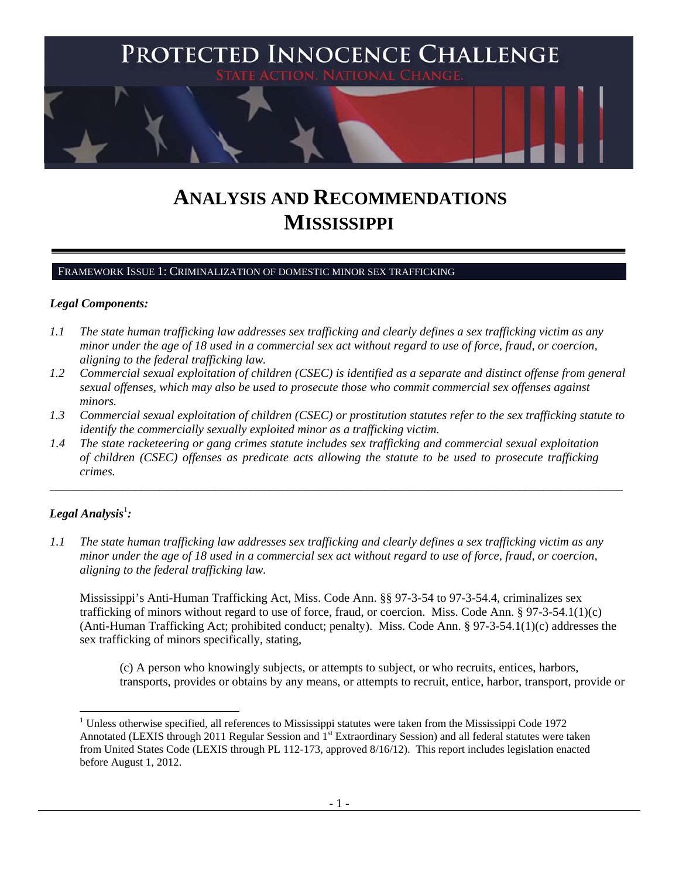

# **ANALYSIS AND RECOMMENDATIONS MISSISSIPPI**

#### FRAMEWORK ISSUE 1: CRIMINALIZATION OF DOMESTIC MINOR SEX TRAFFICKING

#### *Legal Components:*

- *1.1 The state human trafficking law addresses sex trafficking and clearly defines a sex trafficking victim as any minor under the age of 18 used in a commercial sex act without regard to use of force, fraud, or coercion, aligning to the federal trafficking law.*
- *1.2 Commercial sexual exploitation of children (CSEC) is identified as a separate and distinct offense from general sexual offenses, which may also be used to prosecute those who commit commercial sex offenses against minors.*
- *1.3 Commercial sexual exploitation of children (CSEC) or prostitution statutes refer to the sex trafficking statute to identify the commercially sexually exploited minor as a trafficking victim.*

\_\_\_\_\_\_\_\_\_\_\_\_\_\_\_\_\_\_\_\_\_\_\_\_\_\_\_\_\_\_\_\_\_\_\_\_\_\_\_\_\_\_\_\_\_\_\_\_\_\_\_\_\_\_\_\_\_\_\_\_\_\_\_\_\_\_\_\_\_\_\_\_\_\_\_\_\_\_\_\_\_\_\_\_\_\_\_\_\_\_\_\_\_\_

*1.4 The state racketeering or gang crimes statute includes sex trafficking and commercial sexual exploitation of children (CSEC) offenses as predicate acts allowing the statute to be used to prosecute trafficking crimes.* 

# $\bm{\mathit{Legal\, Analysis^{\text{!}}:}}$

1

*1.1 The state human trafficking law addresses sex trafficking and clearly defines a sex trafficking victim as any minor under the age of 18 used in a commercial sex act without regard to use of force, fraud, or coercion, aligning to the federal trafficking law.*

Mississippi's Anti-Human Trafficking Act, Miss. Code Ann. §§ 97-3-54 to 97-3-54.4, criminalizes sex trafficking of minors without regard to use of force, fraud, or coercion. Miss. Code Ann. § 97-3-54.1(1)(c) (Anti-Human Trafficking Act; prohibited conduct; penalty). Miss. Code Ann. § 97-3-54.1(1)(c) addresses the sex trafficking of minors specifically, stating,

(c) A person who knowingly subjects, or attempts to subject, or who recruits, entices, harbors, transports, provides or obtains by any means, or attempts to recruit, entice, harbor, transport, provide or

<sup>&</sup>lt;sup>1</sup> Unless otherwise specified, all references to Mississippi statutes were taken from the Mississippi Code 1972 Annotated (LEXIS through 2011 Regular Session and 1<sup>st</sup> Extraordinary Session) and all federal statutes were taken from United States Code (LEXIS through PL 112-173, approved 8/16/12). This report includes legislation enacted before August 1, 2012.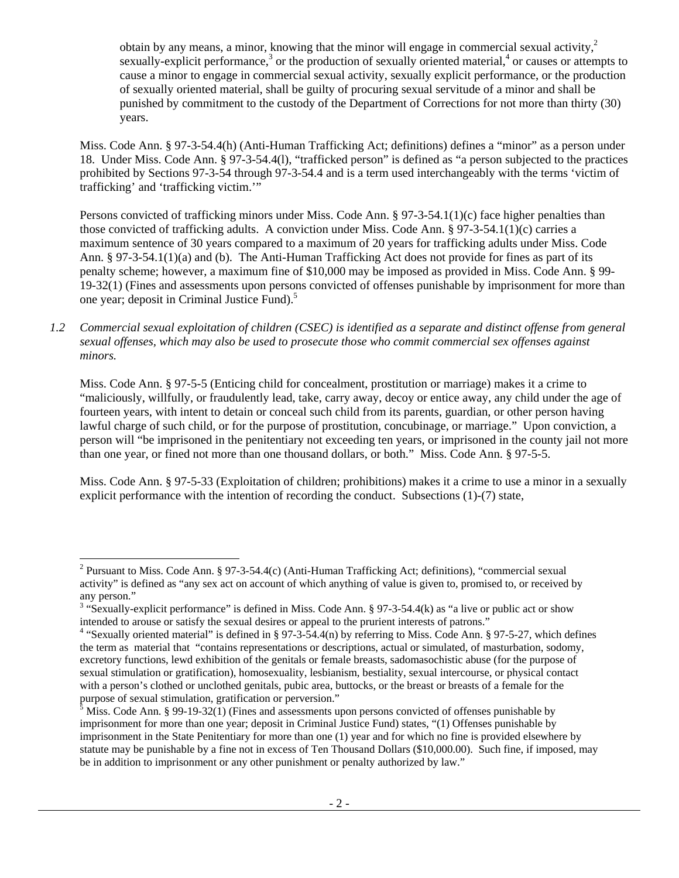obtain by any means, a minor, knowing that the minor will engage in commercial sexual activity, $\lambda^2$ sexually-explicit performance, $3$  or the production of sexually oriented material, $4$  or causes or attempts to cause a minor to engage in commercial sexual activity, sexually explicit performance, or the production of sexually oriented material, shall be guilty of procuring sexual servitude of a minor and shall be punished by commitment to the custody of the Department of Corrections for not more than thirty (30) years.

Miss. Code Ann. § 97-3-54.4(h) (Anti-Human Trafficking Act; definitions) defines a "minor" as a person under 18. Under Miss. Code Ann. § 97-3-54.4(l), "trafficked person" is defined as "a person subjected to the practices prohibited by Sections 97-3-54 through 97-3-54.4 and is a term used interchangeably with the terms 'victim of trafficking' and 'trafficking victim.'"

Persons convicted of trafficking minors under Miss. Code Ann. § 97-3-54.1(1)(c) face higher penalties than those convicted of trafficking adults. A conviction under Miss. Code Ann. § 97-3-54.1(1)(c) carries a maximum sentence of 30 years compared to a maximum of 20 years for trafficking adults under Miss. Code Ann. § 97-3-54.1(1)(a) and (b). The Anti-Human Trafficking Act does not provide for fines as part of its penalty scheme; however, a maximum fine of \$10,000 may be imposed as provided in Miss. Code Ann. § 99- 19-32(1) (Fines and assessments upon persons convicted of offenses punishable by imprisonment for more than one year; deposit in Criminal Justice Fund).5

*1.2 Commercial sexual exploitation of children (CSEC) is identified as a separate and distinct offense from general sexual offenses, which may also be used to prosecute those who commit commercial sex offenses against minors.*

Miss. Code Ann. § 97-5-5 (Enticing child for concealment, prostitution or marriage) makes it a crime to "maliciously, willfully, or fraudulently lead, take, carry away, decoy or entice away, any child under the age of fourteen years, with intent to detain or conceal such child from its parents, guardian, or other person having lawful charge of such child, or for the purpose of prostitution, concubinage, or marriage." Upon conviction, a person will "be imprisoned in the penitentiary not exceeding ten years, or imprisoned in the county jail not more than one year, or fined not more than one thousand dollars, or both." Miss. Code Ann. § 97-5-5.

Miss. Code Ann. § 97-5-33 (Exploitation of children; prohibitions) makes it a crime to use a minor in a sexually explicit performance with the intention of recording the conduct. Subsections (1)-(7) state,

1

<sup>&</sup>lt;sup>2</sup> Pursuant to Miss. Code Ann. § 97-3-54.4(c) (Anti-Human Trafficking Act; definitions), "commercial sexual activity" is defined as "any sex act on account of which anything of value is given to, promised to, or received by any person."

<sup>&</sup>lt;sup>3</sup> "Sexually-explicit performance" is defined in Miss. Code Ann. § 97-3-54.4(k) as "a live or public act or show intended to arouse or satisfy the sexual desires or appeal to the prurient interests of patrons."

<sup>&</sup>lt;sup>4</sup> "Sexually oriented material" is defined in § 97-3-54.4(n) by referring to Miss. Code Ann. § 97-5-27, which defines the term as material that "contains representations or descriptions, actual or simulated, of masturbation, sodomy, excretory functions, lewd exhibition of the genitals or female breasts, sadomasochistic abuse (for the purpose of sexual stimulation or gratification), homosexuality, lesbianism, bestiality, sexual intercourse, or physical contact with a person's clothed or unclothed genitals, pubic area, buttocks, or the breast or breasts of a female for the purpose of sexual stimulation, gratification or perversion." 5

<sup>&</sup>lt;sup>5</sup> Miss. Code Ann. § 99-19-32(1) (Fines and assessments upon persons convicted of offenses punishable by imprisonment for more than one year; deposit in Criminal Justice Fund) states, "(1) Offenses punishable by imprisonment in the State Penitentiary for more than one (1) year and for which no fine is provided elsewhere by statute may be punishable by a fine not in excess of Ten Thousand Dollars (\$10,000.00). Such fine, if imposed, may be in addition to imprisonment or any other punishment or penalty authorized by law."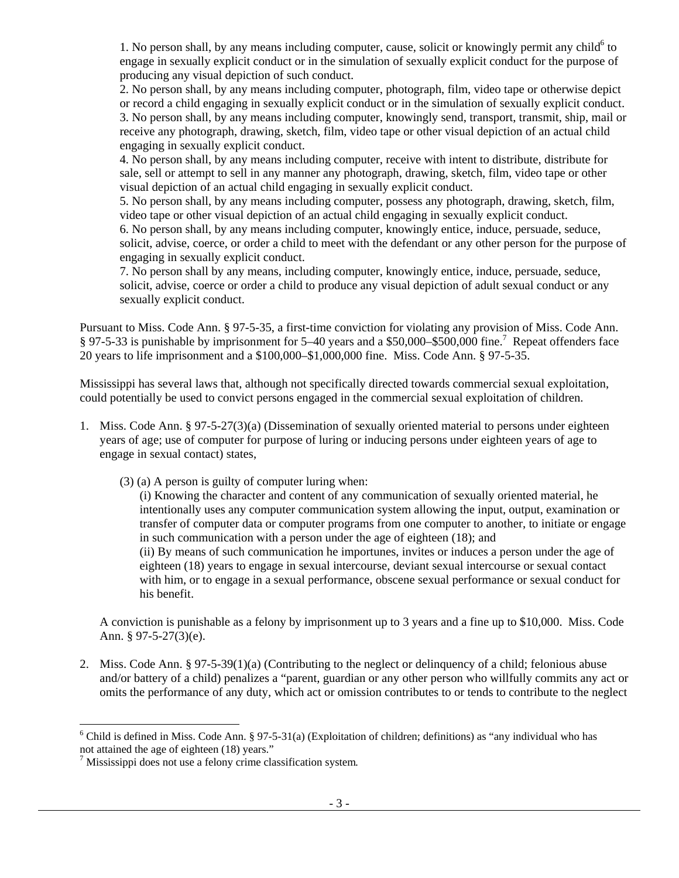1. No person shall, by any means including computer, cause, solicit or knowingly permit any child $<sup>6</sup>$  to</sup> engage in sexually explicit conduct or in the simulation of sexually explicit conduct for the purpose of producing any visual depiction of such conduct.

2. No person shall, by any means including computer, photograph, film, video tape or otherwise depict or record a child engaging in sexually explicit conduct or in the simulation of sexually explicit conduct. 3. No person shall, by any means including computer, knowingly send, transport, transmit, ship, mail or receive any photograph, drawing, sketch, film, video tape or other visual depiction of an actual child engaging in sexually explicit conduct.

4. No person shall, by any means including computer, receive with intent to distribute, distribute for sale, sell or attempt to sell in any manner any photograph, drawing, sketch, film, video tape or other visual depiction of an actual child engaging in sexually explicit conduct.

5. No person shall, by any means including computer, possess any photograph, drawing, sketch, film, video tape or other visual depiction of an actual child engaging in sexually explicit conduct. 6. No person shall, by any means including computer, knowingly entice, induce, persuade, seduce, solicit, advise, coerce, or order a child to meet with the defendant or any other person for the purpose of engaging in sexually explicit conduct.

7. No person shall by any means, including computer, knowingly entice, induce, persuade, seduce, solicit, advise, coerce or order a child to produce any visual depiction of adult sexual conduct or any sexually explicit conduct.

Pursuant to Miss. Code Ann. § 97-5-35, a first-time conviction for violating any provision of Miss. Code Ann. § 97-5-33 is punishable by imprisonment for 5–40 years and a \$50,000–\$500,000 fine.<sup>7</sup> Repeat offenders face 20 years to life imprisonment and a \$100,000–\$1,000,000 fine. Miss. Code Ann. § 97-5-35.

Mississippi has several laws that, although not specifically directed towards commercial sexual exploitation, could potentially be used to convict persons engaged in the commercial sexual exploitation of children.

- 1. Miss. Code Ann. § 97-5-27(3)(a) (Dissemination of sexually oriented material to persons under eighteen years of age; use of computer for purpose of luring or inducing persons under eighteen years of age to engage in sexual contact) states,
	- (3) (a) A person is guilty of computer luring when:

(i) Knowing the character and content of any communication of sexually oriented material, he intentionally uses any computer communication system allowing the input, output, examination or transfer of computer data or computer programs from one computer to another, to initiate or engage in such communication with a person under the age of eighteen (18); and (ii) By means of such communication he importunes, invites or induces a person under the age of eighteen (18) years to engage in sexual intercourse, deviant sexual intercourse or sexual contact with him, or to engage in a sexual performance, obscene sexual performance or sexual conduct for his benefit.

A conviction is punishable as a felony by imprisonment up to 3 years and a fine up to \$10,000. Miss. Code Ann. § 97-5-27(3)(e).

2. Miss. Code Ann. § 97-5-39(1)(a) (Contributing to the neglect or delinquency of a child; felonious abuse and/or battery of a child) penalizes a "parent, guardian or any other person who willfully commits any act or omits the performance of any duty, which act or omission contributes to or tends to contribute to the neglect

1

 $6$  Child is defined in Miss. Code Ann. § 97-5-31(a) (Exploitation of children; definitions) as "any individual who has not attained the age of eighteen (18) years."

<sup>7</sup> Mississippi does not use a felony crime classification system*.*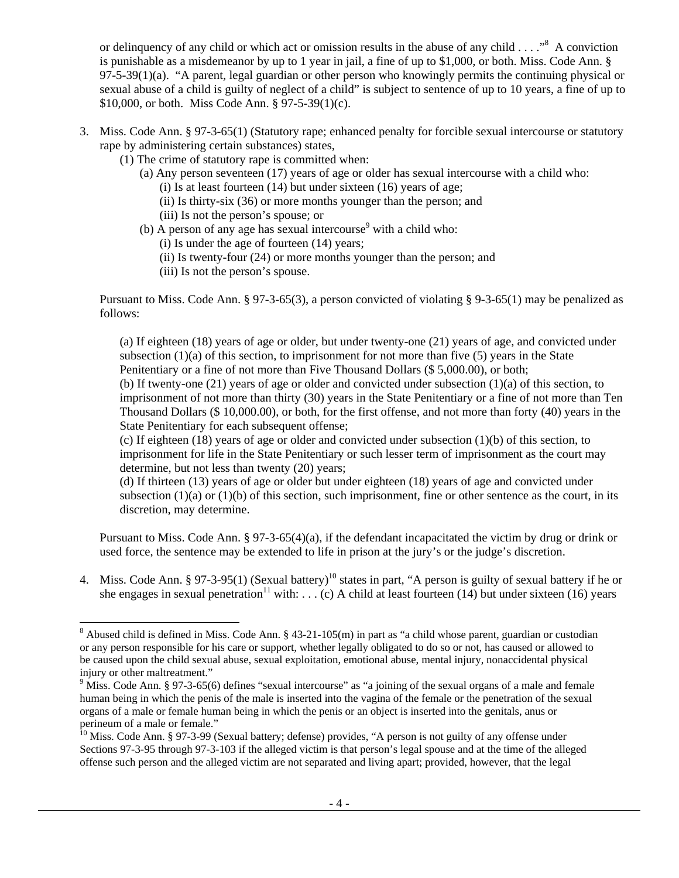or delinquency of any child or which act or omission results in the abuse of any child  $\dots$ ."<sup>8</sup> A conviction is punishable as a misdemeanor by up to 1 year in jail, a fine of up to \$1,000, or both. Miss. Code Ann. § 97-5-39(1)(a). "A parent, legal guardian or other person who knowingly permits the continuing physical or sexual abuse of a child is guilty of neglect of a child" is subject to sentence of up to 10 years, a fine of up to \$10,000, or both. Miss Code Ann. § 97-5-39(1)(c).

- 3. Miss. Code Ann. § 97-3-65(1) (Statutory rape; enhanced penalty for forcible sexual intercourse or statutory rape by administering certain substances) states,
	- (1) The crime of statutory rape is committed when:
		- (a) Any person seventeen (17) years of age or older has sexual intercourse with a child who: (i) Is at least fourteen  $(14)$  but under sixteen  $(16)$  years of age;
			- (ii) Is thirty-six (36) or more months younger than the person; and
			- (iii) Is not the person's spouse; or
		- (b) A person of any age has sexual intercourse<sup>9</sup> with a child who:
			- (i) Is under the age of fourteen (14) years;
			- (ii) Is twenty-four (24) or more months younger than the person; and
			- (iii) Is not the person's spouse.

1

Pursuant to Miss. Code Ann. § 97-3-65(3), a person convicted of violating § 9-3-65(1) may be penalized as follows:

(a) If eighteen (18) years of age or older, but under twenty-one (21) years of age, and convicted under subsection  $(1)(a)$  of this section, to imprisonment for not more than five (5) years in the State Penitentiary or a fine of not more than Five Thousand Dollars (\$ 5,000.00), or both;

(b) If twenty-one (21) years of age or older and convicted under subsection (1)(a) of this section, to imprisonment of not more than thirty (30) years in the State Penitentiary or a fine of not more than Ten Thousand Dollars (\$ 10,000.00), or both, for the first offense, and not more than forty (40) years in the State Penitentiary for each subsequent offense;

(c) If eighteen (18) years of age or older and convicted under subsection (1)(b) of this section, to imprisonment for life in the State Penitentiary or such lesser term of imprisonment as the court may determine, but not less than twenty (20) years;

(d) If thirteen (13) years of age or older but under eighteen (18) years of age and convicted under subsection  $(1)(a)$  or  $(1)(b)$  of this section, such imprisonment, fine or other sentence as the court, in its discretion, may determine.

Pursuant to Miss. Code Ann. § 97-3-65(4)(a), if the defendant incapacitated the victim by drug or drink or used force, the sentence may be extended to life in prison at the jury's or the judge's discretion.

4. Miss. Code Ann. § 97-3-95(1) (Sexual battery)<sup>10</sup> states in part, "A person is guilty of sexual battery if he or she engages in sexual penetration<sup>11</sup> with: . . . (c) A child at least fourteen (14) but under sixteen (16) years

<sup>&</sup>lt;sup>8</sup> Abused child is defined in Miss. Code Ann. § 43-21-105(m) in part as "a child whose parent, guardian or custodian or any person responsible for his care or support, whether legally obligated to do so or not, has caused or allowed to be caused upon the child sexual abuse, sexual exploitation, emotional abuse, mental injury, nonaccidental physical injury or other maltreatment."

 $9 \text{ Miss. Code Ann. } § 97-3-65(6)$  defines "sexual intercourse" as "a joining of the sexual organs of a male and female human being in which the penis of the male is inserted into the vagina of the female or the penetration of the sexual organs of a male or female human being in which the penis or an object is inserted into the genitals, anus or perineum of a male or female."

<sup>&</sup>lt;sup>10</sup> Miss. Code Ann. § 97-3-99 (Sexual battery; defense) provides, "A person is not guilty of any offense under Sections 97-3-95 through 97-3-103 if the alleged victim is that person's legal spouse and at the time of the alleged offense such person and the alleged victim are not separated and living apart; provided, however, that the legal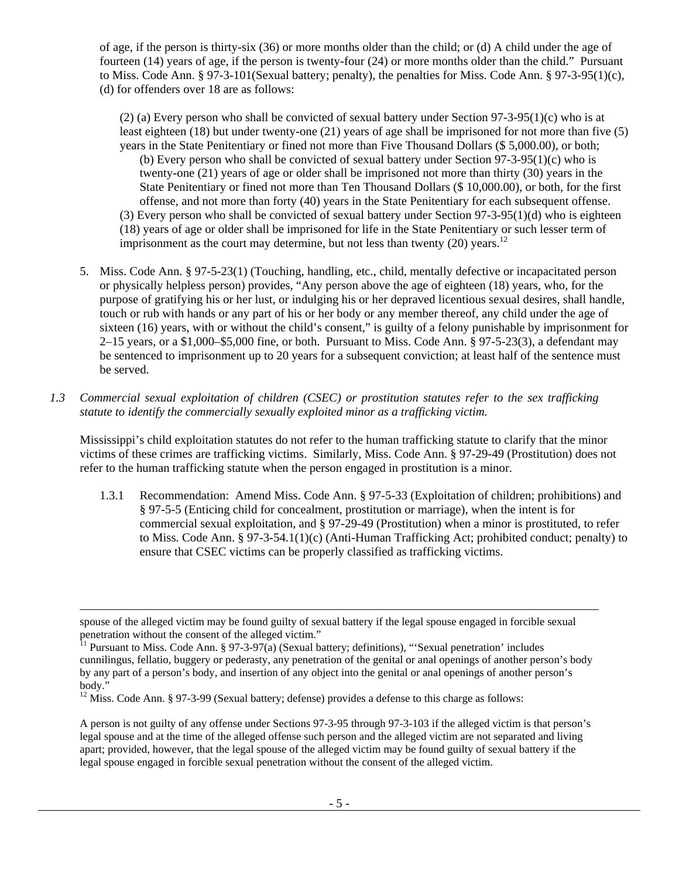of age, if the person is thirty-six (36) or more months older than the child; or (d) A child under the age of fourteen (14) years of age, if the person is twenty-four (24) or more months older than the child." Pursuant to Miss. Code Ann. § 97-3-101(Sexual battery; penalty), the penalties for Miss. Code Ann. § 97-3-95(1)(c), (d) for offenders over 18 are as follows:

(2) (a) Every person who shall be convicted of sexual battery under Section 97-3-95(1)(c) who is at least eighteen (18) but under twenty-one (21) years of age shall be imprisoned for not more than five (5) years in the State Penitentiary or fined not more than Five Thousand Dollars (\$ 5,000.00), or both; (b) Every person who shall be convicted of sexual battery under Section  $97-3-95(1)(c)$  who is twenty-one (21) years of age or older shall be imprisoned not more than thirty (30) years in the State Penitentiary or fined not more than Ten Thousand Dollars (\$ 10,000.00), or both, for the first offense, and not more than forty (40) years in the State Penitentiary for each subsequent offense. (3) Every person who shall be convicted of sexual battery under Section 97-3-95(1)(d) who is eighteen

(18) years of age or older shall be imprisoned for life in the State Penitentiary or such lesser term of imprisonment as the court may determine, but not less than twenty (20) years.<sup>12</sup>

- 5. Miss. Code Ann. § 97-5-23(1) (Touching, handling, etc., child, mentally defective or incapacitated person or physically helpless person) provides, "Any person above the age of eighteen (18) years, who, for the purpose of gratifying his or her lust, or indulging his or her depraved licentious sexual desires, shall handle, touch or rub with hands or any part of his or her body or any member thereof, any child under the age of sixteen (16) years, with or without the child's consent," is guilty of a felony punishable by imprisonment for  $2-15$  years, or a \$1,000–\$5,000 fine, or both. Pursuant to Miss. Code Ann. § 97-5-23(3), a defendant may be sentenced to imprisonment up to 20 years for a subsequent conviction; at least half of the sentence must be served.
- *1.3 Commercial sexual exploitation of children (CSEC) or prostitution statutes refer to the sex trafficking statute to identify the commercially sexually exploited minor as a trafficking victim.*

Mississippi's child exploitation statutes do not refer to the human trafficking statute to clarify that the minor victims of these crimes are trafficking victims. Similarly, Miss. Code Ann. § 97-29-49 (Prostitution) does not refer to the human trafficking statute when the person engaged in prostitution is a minor.

1.3.1 Recommendation: Amend Miss. Code Ann. § 97-5-33 (Exploitation of children; prohibitions) and § 97-5-5 (Enticing child for concealment, prostitution or marriage), when the intent is for commercial sexual exploitation, and § 97-29-49 (Prostitution) when a minor is prostituted, to refer to Miss. Code Ann. § 97-3-54.1(1)(c) (Anti-Human Trafficking Act; prohibited conduct; penalty) to ensure that CSEC victims can be properly classified as trafficking victims.

l

spouse of the alleged victim may be found guilty of sexual battery if the legal spouse engaged in forcible sexual penetration without the consent of the alleged victim."

<sup>&</sup>lt;sup>11</sup> Pursuant to Miss. Code Ann. § 97-3-97(a) (Sexual battery; definitions), "'Sexual penetration' includes cunnilingus, fellatio, buggery or pederasty, any penetration of the genital or anal openings of another person's body by any part of a person's body, and insertion of any object into the genital or anal openings of another person's body."

<sup>&</sup>lt;sup>12</sup> Miss. Code Ann. § 97-3-99 (Sexual battery; defense) provides a defense to this charge as follows:

A person is not guilty of any offense under Sections 97-3-95 through 97-3-103 if the alleged victim is that person's legal spouse and at the time of the alleged offense such person and the alleged victim are not separated and living apart; provided, however, that the legal spouse of the alleged victim may be found guilty of sexual battery if the legal spouse engaged in forcible sexual penetration without the consent of the alleged victim.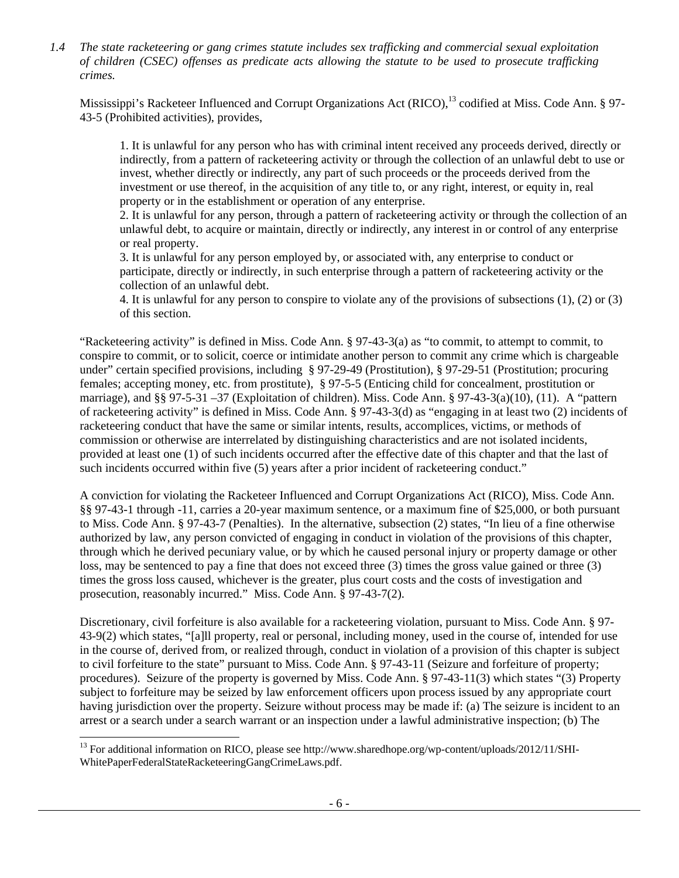*1.4 The state racketeering or gang crimes statute includes sex trafficking and commercial sexual exploitation of children (CSEC) offenses as predicate acts allowing the statute to be used to prosecute trafficking crimes.* 

Mississippi's Racketeer Influenced and Corrupt Organizations Act (RICO),<sup>13</sup> codified at Miss. Code Ann. § 97-43-5 (Prohibited activities), provides,

1. It is unlawful for any person who has with criminal intent received any proceeds derived, directly or indirectly, from a pattern of racketeering activity or through the collection of an unlawful debt to use or invest, whether directly or indirectly, any part of such proceeds or the proceeds derived from the investment or use thereof, in the acquisition of any title to, or any right, interest, or equity in, real property or in the establishment or operation of any enterprise.

2. It is unlawful for any person, through a pattern of racketeering activity or through the collection of an unlawful debt, to acquire or maintain, directly or indirectly, any interest in or control of any enterprise or real property.

3. It is unlawful for any person employed by, or associated with, any enterprise to conduct or participate, directly or indirectly, in such enterprise through a pattern of racketeering activity or the collection of an unlawful debt.

4. It is unlawful for any person to conspire to violate any of the provisions of subsections (1), (2) or (3) of this section.

"Racketeering activity" is defined in Miss. Code Ann. § 97-43-3(a) as "to commit, to attempt to commit, to conspire to commit, or to solicit, coerce or intimidate another person to commit any crime which is chargeable under" certain specified provisions, including § 97-29-49 (Prostitution), § 97-29-51 (Prostitution; procuring females; accepting money, etc. from prostitute), § 97-5-5 (Enticing child for concealment, prostitution or marriage), and §§ 97-5-31 –37 (Exploitation of children). Miss. Code Ann. § 97-43-3(a)(10), (11). A "pattern of racketeering activity" is defined in Miss. Code Ann. § 97-43-3(d) as "engaging in at least two (2) incidents of racketeering conduct that have the same or similar intents, results, accomplices, victims, or methods of commission or otherwise are interrelated by distinguishing characteristics and are not isolated incidents, provided at least one (1) of such incidents occurred after the effective date of this chapter and that the last of such incidents occurred within five (5) years after a prior incident of racketeering conduct."

A conviction for violating the Racketeer Influenced and Corrupt Organizations Act (RICO), Miss. Code Ann. §§ 97-43-1 through -11, carries a 20-year maximum sentence, or a maximum fine of \$25,000, or both pursuant to Miss. Code Ann. § 97-43-7 (Penalties). In the alternative, subsection (2) states, "In lieu of a fine otherwise authorized by law, any person convicted of engaging in conduct in violation of the provisions of this chapter, through which he derived pecuniary value, or by which he caused personal injury or property damage or other loss, may be sentenced to pay a fine that does not exceed three (3) times the gross value gained or three (3) times the gross loss caused, whichever is the greater, plus court costs and the costs of investigation and prosecution, reasonably incurred." Miss. Code Ann. § 97-43-7(2).

Discretionary, civil forfeiture is also available for a racketeering violation, pursuant to Miss. Code Ann. § 97- 43-9(2) which states, "[a]ll property, real or personal, including money, used in the course of, intended for use in the course of, derived from, or realized through, conduct in violation of a provision of this chapter is subject to civil forfeiture to the state" pursuant to Miss. Code Ann. § 97-43-11 (Seizure and forfeiture of property; procedures). Seizure of the property is governed by Miss. Code Ann. § 97-43-11(3) which states "(3) Property subject to forfeiture may be seized by law enforcement officers upon process issued by any appropriate court having jurisdiction over the property. Seizure without process may be made if: (a) The seizure is incident to an arrest or a search under a search warrant or an inspection under a lawful administrative inspection; (b) The

1

<sup>&</sup>lt;sup>13</sup> For additional information on RICO, please see http://www.sharedhope.org/wp-content/uploads/2012/11/SHI-WhitePaperFederalStateRacketeeringGangCrimeLaws.pdf.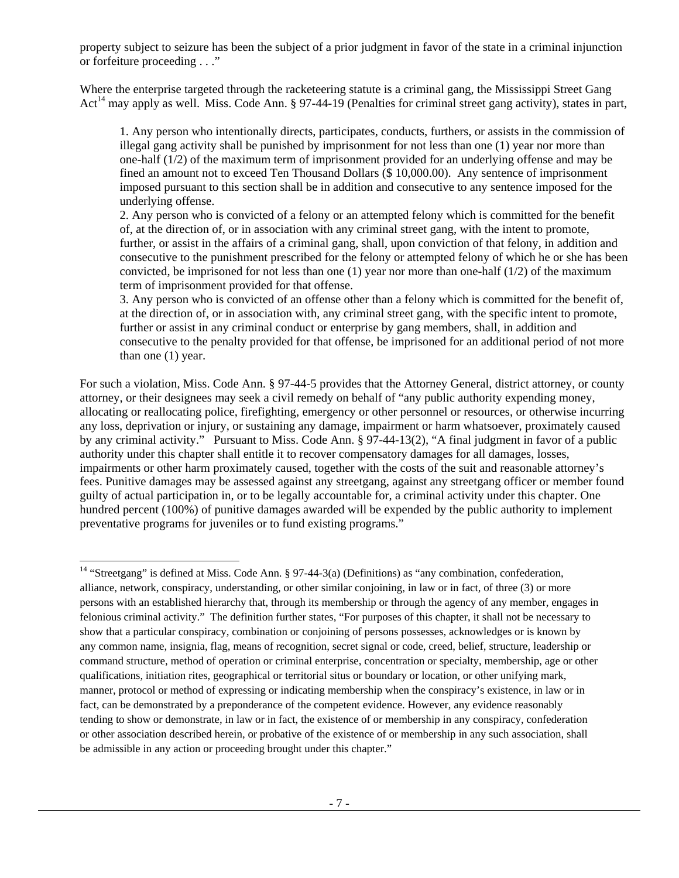property subject to seizure has been the subject of a prior judgment in favor of the state in a criminal injunction or forfeiture proceeding . . ."

Where the enterprise targeted through the racketeering statute is a criminal gang, the Mississippi Street Gang Act<sup>14</sup> may apply as well. Miss. Code Ann. § 97-44-19 (Penalties for criminal street gang activity), states in part,

1. Any person who intentionally directs, participates, conducts, furthers, or assists in the commission of illegal gang activity shall be punished by imprisonment for not less than one (1) year nor more than one-half (1/2) of the maximum term of imprisonment provided for an underlying offense and may be fined an amount not to exceed Ten Thousand Dollars (\$ 10,000.00). Any sentence of imprisonment imposed pursuant to this section shall be in addition and consecutive to any sentence imposed for the underlying offense.

2. Any person who is convicted of a felony or an attempted felony which is committed for the benefit of, at the direction of, or in association with any criminal street gang, with the intent to promote, further, or assist in the affairs of a criminal gang, shall, upon conviction of that felony, in addition and consecutive to the punishment prescribed for the felony or attempted felony of which he or she has been convicted, be imprisoned for not less than one  $(1)$  year nor more than one-half  $(1/2)$  of the maximum term of imprisonment provided for that offense.

3. Any person who is convicted of an offense other than a felony which is committed for the benefit of, at the direction of, or in association with, any criminal street gang, with the specific intent to promote, further or assist in any criminal conduct or enterprise by gang members, shall, in addition and consecutive to the penalty provided for that offense, be imprisoned for an additional period of not more than one (1) year.

For such a violation, Miss. Code Ann. § 97-44-5 provides that the Attorney General, district attorney, or county attorney, or their designees may seek a civil remedy on behalf of "any public authority expending money, allocating or reallocating police, firefighting, emergency or other personnel or resources, or otherwise incurring any loss, deprivation or injury, or sustaining any damage, impairment or harm whatsoever, proximately caused by any criminal activity." Pursuant to Miss. Code Ann. § 97-44-13(2), "A final judgment in favor of a public authority under this chapter shall entitle it to recover compensatory damages for all damages, losses, impairments or other harm proximately caused, together with the costs of the suit and reasonable attorney's fees. Punitive damages may be assessed against any streetgang, against any streetgang officer or member found guilty of actual participation in, or to be legally accountable for, a criminal activity under this chapter. One hundred percent (100%) of punitive damages awarded will be expended by the public authority to implement preventative programs for juveniles or to fund existing programs."

l <sup>14</sup> "Streetgang" is defined at Miss. Code Ann. § 97-44-3(a) (Definitions) as "any combination, confederation, alliance, network, conspiracy, understanding, or other similar conjoining, in law or in fact, of three (3) or more persons with an established hierarchy that, through its membership or through the agency of any member, engages in felonious criminal activity." The definition further states, "For purposes of this chapter, it shall not be necessary to show that a particular conspiracy, combination or conjoining of persons possesses, acknowledges or is known by any common name, insignia, flag, means of recognition, secret signal or code, creed, belief, structure, leadership or command structure, method of operation or criminal enterprise, concentration or specialty, membership, age or other qualifications, initiation rites, geographical or territorial situs or boundary or location, or other unifying mark, manner, protocol or method of expressing or indicating membership when the conspiracy's existence, in law or in fact, can be demonstrated by a preponderance of the competent evidence. However, any evidence reasonably tending to show or demonstrate, in law or in fact, the existence of or membership in any conspiracy, confederation or other association described herein, or probative of the existence of or membership in any such association, shall be admissible in any action or proceeding brought under this chapter."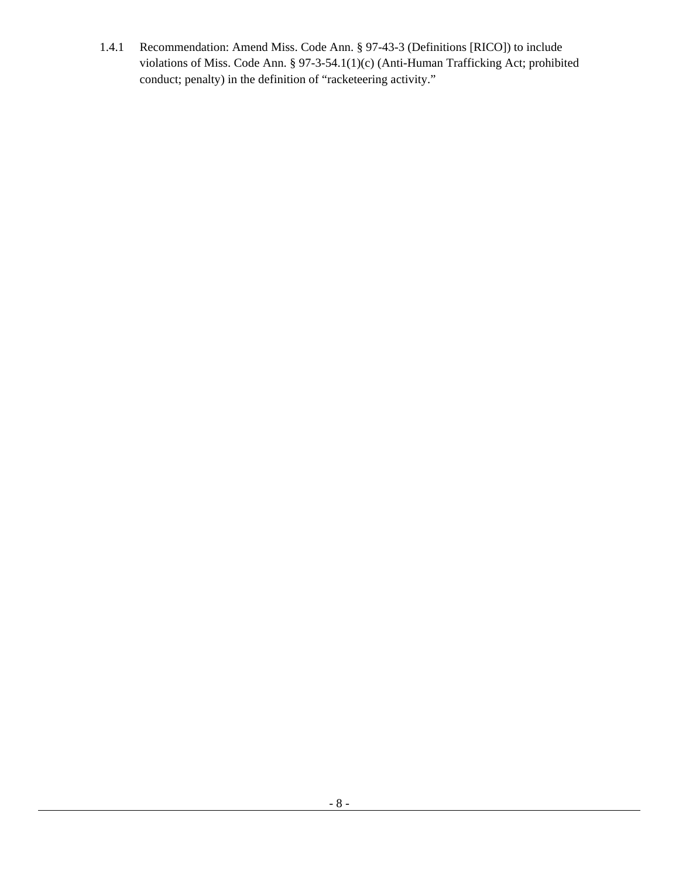1.4.1 Recommendation: Amend Miss. Code Ann. § 97-43-3 (Definitions [RICO]) to include violations of Miss. Code Ann. § 97-3-54.1(1)(c) (Anti-Human Trafficking Act; prohibited conduct; penalty) in the definition of "racketeering activity."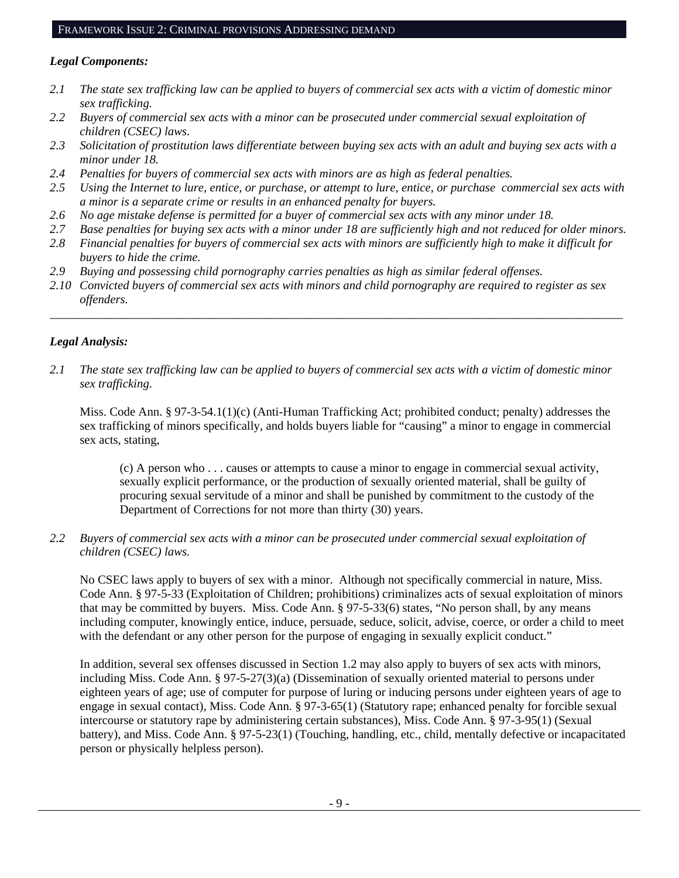#### FRAMEWORK ISSUE 2: CRIMINAL PROVISIONS ADDRESSING DEMAND

# *Legal Components:*

- *2.1 The state sex trafficking law can be applied to buyers of commercial sex acts with a victim of domestic minor sex trafficking.*
- *2.2 Buyers of commercial sex acts with a minor can be prosecuted under commercial sexual exploitation of children (CSEC) laws.*
- *2.3 Solicitation of prostitution laws differentiate between buying sex acts with an adult and buying sex acts with a minor under 18.*
- *2.4 Penalties for buyers of commercial sex acts with minors are as high as federal penalties.*
- *2.5 Using the Internet to lure, entice, or purchase, or attempt to lure, entice, or purchase commercial sex acts with a minor is a separate crime or results in an enhanced penalty for buyers.*
- *2.6 No age mistake defense is permitted for a buyer of commercial sex acts with any minor under 18.*
- *2.7 Base penalties for buying sex acts with a minor under 18 are sufficiently high and not reduced for older minors.*
- *2.8 Financial penalties for buyers of commercial sex acts with minors are sufficiently high to make it difficult for buyers to hide the crime.*
- *2.9 Buying and possessing child pornography carries penalties as high as similar federal offenses.*
- *2.10 Convicted buyers of commercial sex acts with minors and child pornography are required to register as sex offenders.*

\_\_\_\_\_\_\_\_\_\_\_\_\_\_\_\_\_\_\_\_\_\_\_\_\_\_\_\_\_\_\_\_\_\_\_\_\_\_\_\_\_\_\_\_\_\_\_\_\_\_\_\_\_\_\_\_\_\_\_\_\_\_\_\_\_\_\_\_\_\_\_\_\_\_\_\_\_\_\_\_\_\_\_\_\_\_\_\_\_\_\_\_\_\_

# *Legal Analysis:*

*2.1 The state sex trafficking law can be applied to buyers of commercial sex acts with a victim of domestic minor sex trafficking.* 

Miss. Code Ann. § 97-3-54.1(1)(c) (Anti-Human Trafficking Act; prohibited conduct; penalty) addresses the sex trafficking of minors specifically, and holds buyers liable for "causing" a minor to engage in commercial sex acts, stating,

(c) A person who . . . causes or attempts to cause a minor to engage in commercial sexual activity, sexually explicit performance, or the production of sexually oriented material, shall be guilty of procuring sexual servitude of a minor and shall be punished by commitment to the custody of the Department of Corrections for not more than thirty (30) years.

*2.2 Buyers of commercial sex acts with a minor can be prosecuted under commercial sexual exploitation of children (CSEC) laws.* 

No CSEC laws apply to buyers of sex with a minor. Although not specifically commercial in nature, Miss. Code Ann. § 97-5-33 (Exploitation of Children; prohibitions) criminalizes acts of sexual exploitation of minors that may be committed by buyers. Miss. Code Ann. § 97-5-33(6) states, "No person shall, by any means including computer, knowingly entice, induce, persuade, seduce, solicit, advise, coerce, or order a child to meet with the defendant or any other person for the purpose of engaging in sexually explicit conduct."

In addition, several sex offenses discussed in Section 1.2 may also apply to buyers of sex acts with minors, including Miss. Code Ann. § 97-5-27(3)(a) (Dissemination of sexually oriented material to persons under eighteen years of age; use of computer for purpose of luring or inducing persons under eighteen years of age to engage in sexual contact), Miss. Code Ann. § 97-3-65(1) (Statutory rape; enhanced penalty for forcible sexual intercourse or statutory rape by administering certain substances), Miss. Code Ann. § 97-3-95(1) (Sexual battery), and Miss. Code Ann. § 97-5-23(1) (Touching, handling, etc., child, mentally defective or incapacitated person or physically helpless person).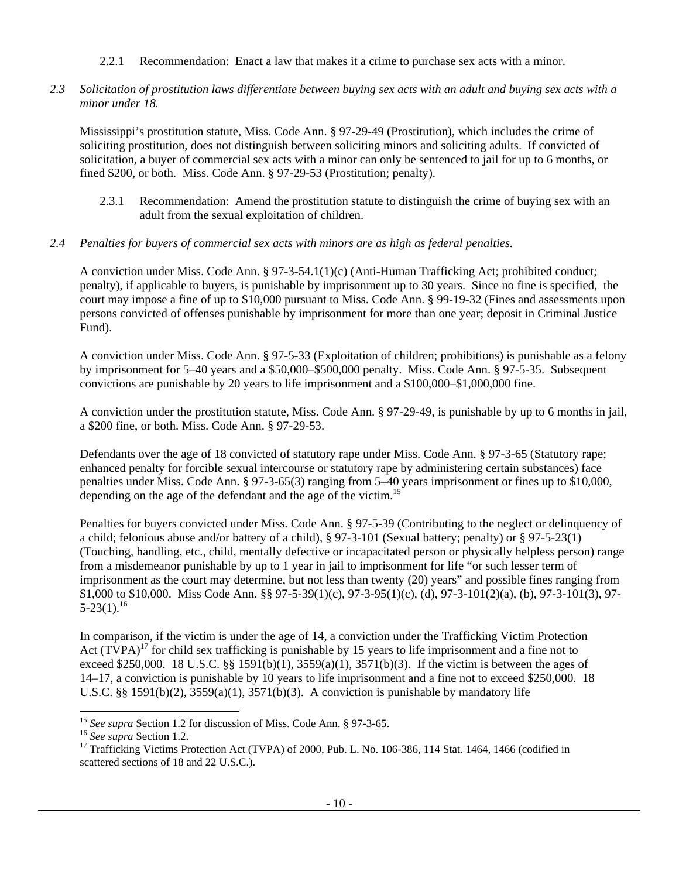# 2.2.1 Recommendation: Enact a law that makes it a crime to purchase sex acts with a minor.

*2.3 Solicitation of prostitution laws differentiate between buying sex acts with an adult and buying sex acts with a minor under 18.* 

Mississippi's prostitution statute, Miss. Code Ann. § 97-29-49 (Prostitution), which includes the crime of soliciting prostitution, does not distinguish between soliciting minors and soliciting adults. If convicted of solicitation, a buyer of commercial sex acts with a minor can only be sentenced to jail for up to 6 months, or fined \$200, or both. Miss. Code Ann. § 97-29-53 (Prostitution; penalty).

2.3.1 Recommendation: Amend the prostitution statute to distinguish the crime of buying sex with an adult from the sexual exploitation of children.

# *2.4 Penalties for buyers of commercial sex acts with minors are as high as federal penalties.*

A conviction under Miss. Code Ann. § 97-3-54.1(1)(c) (Anti-Human Trafficking Act; prohibited conduct; penalty), if applicable to buyers, is punishable by imprisonment up to 30 years. Since no fine is specified, the court may impose a fine of up to \$10,000 pursuant to Miss. Code Ann. § 99-19-32 (Fines and assessments upon persons convicted of offenses punishable by imprisonment for more than one year; deposit in Criminal Justice Fund).

A conviction under Miss. Code Ann. § 97-5-33 (Exploitation of children; prohibitions) is punishable as a felony by imprisonment for 5–40 years and a \$50,000–\$500,000 penalty. Miss. Code Ann. § 97-5-35. Subsequent convictions are punishable by 20 years to life imprisonment and a \$100,000–\$1,000,000 fine.

A conviction under the prostitution statute, Miss. Code Ann. § 97-29-49, is punishable by up to 6 months in jail, a \$200 fine, or both. Miss. Code Ann. § 97-29-53.

Defendants over the age of 18 convicted of statutory rape under Miss. Code Ann. § 97-3-65 (Statutory rape; enhanced penalty for forcible sexual intercourse or statutory rape by administering certain substances) face penalties under Miss. Code Ann. § 97-3-65(3) ranging from 5–40 years imprisonment or fines up to \$10,000, depending on the age of the defendant and the age of the victim.<sup>15</sup>

Penalties for buyers convicted under Miss. Code Ann. § 97-5-39 (Contributing to the neglect or delinquency of a child; felonious abuse and/or battery of a child), § 97-3-101 (Sexual battery; penalty) or § 97-5-23(1) (Touching, handling, etc., child, mentally defective or incapacitated person or physically helpless person) range from a misdemeanor punishable by up to 1 year in jail to imprisonment for life "or such lesser term of imprisonment as the court may determine, but not less than twenty (20) years" and possible fines ranging from \$1,000 to \$10,000. Miss Code Ann. §§ 97-5-39(1)(c), 97-3-95(1)(c), (d), 97-3-101(2)(a), (b), 97-3-101(3), 97-  $5-23(1).^{16}$ 

In comparison, if the victim is under the age of 14, a conviction under the Trafficking Victim Protection Act  $(TVPA)^{17}$  for child sex trafficking is punishable by 15 years to life imprisonment and a fine not to exceed \$250,000. 18 U.S.C. §§ 1591(b)(1), 3559(a)(1), 3571(b)(3). If the victim is between the ages of 14–17, a conviction is punishable by 10 years to life imprisonment and a fine not to exceed \$250,000. 18 U.S.C. §§ 1591(b)(2),  $3559(a)(1)$ ,  $3571(b)(3)$ . A conviction is punishable by mandatory life

l

<sup>&</sup>lt;sup>15</sup> *See supra Section 1.2 for discussion of Miss. Code Ann.* § 97-3-65.<br><sup>16</sup> *See supra Section 1.2.* 17 Trafficking Victims Protection Act (TVPA) of 2000, Pub. L. No. 106-386, 114 Stat. 1464, 1466 (codified in scattered sections of 18 and 22 U.S.C.).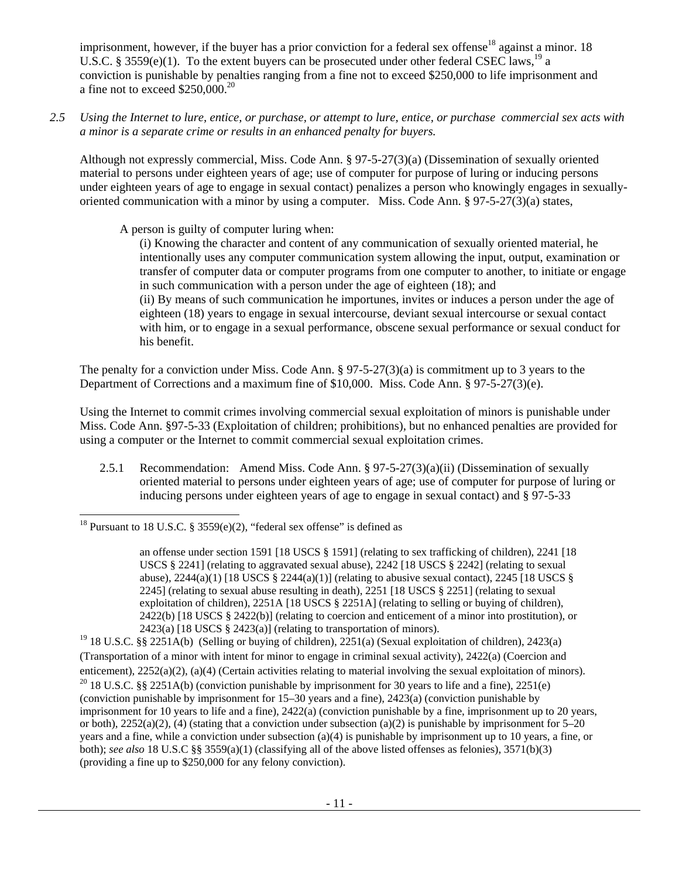imprisonment, however, if the buyer has a prior conviction for a federal sex offense<sup>18</sup> against a minor. 18 U.S.C. § 3559(e)(1). To the extent buyers can be prosecuted under other federal CSEC laws,<sup>19</sup> a conviction is punishable by penalties ranging from a fine not to exceed \$250,000 to life imprisonment and a fine not to exceed  $$250,000.<sup>20</sup>$ 

*2.5 Using the Internet to lure, entice, or purchase, or attempt to lure, entice, or purchase commercial sex acts with a minor is a separate crime or results in an enhanced penalty for buyers.* 

Although not expressly commercial, Miss. Code Ann. § 97-5-27(3)(a) (Dissemination of sexually oriented material to persons under eighteen years of age; use of computer for purpose of luring or inducing persons under eighteen years of age to engage in sexual contact) penalizes a person who knowingly engages in sexuallyoriented communication with a minor by using a computer. Miss. Code Ann. § 97-5-27(3)(a) states,

A person is guilty of computer luring when:

(i) Knowing the character and content of any communication of sexually oriented material, he intentionally uses any computer communication system allowing the input, output, examination or transfer of computer data or computer programs from one computer to another, to initiate or engage in such communication with a person under the age of eighteen (18); and (ii) By means of such communication he importunes, invites or induces a person under the age of eighteen (18) years to engage in sexual intercourse, deviant sexual intercourse or sexual contact with him, or to engage in a sexual performance, obscene sexual performance or sexual conduct for his benefit.

The penalty for a conviction under Miss. Code Ann. § 97-5-27(3)(a) is commitment up to 3 years to the Department of Corrections and a maximum fine of \$10,000. Miss. Code Ann. § 97-5-27(3)(e).

Using the Internet to commit crimes involving commercial sexual exploitation of minors is punishable under Miss. Code Ann. §97-5-33 (Exploitation of children; prohibitions), but no enhanced penalties are provided for using a computer or the Internet to commit commercial sexual exploitation crimes.

2.5.1 Recommendation: Amend Miss. Code Ann. § 97-5-27(3)(a)(ii) (Dissemination of sexually oriented material to persons under eighteen years of age; use of computer for purpose of luring or inducing persons under eighteen years of age to engage in sexual contact) and § 97-5-33

<sup>19</sup> 18 U.S.C. §§ 2251A(b) (Selling or buying of children), 2251(a) (Sexual exploitation of children), 2423(a) (Transportation of a minor with intent for minor to engage in criminal sexual activity), 2422(a) (Coercion and enticement), 2252(a)(2), (a)(4) (Certain activities relating to material involving the sexual exploitation of minors). <sup>20</sup> 18 U.S.C. §§ 2251A(b) (conviction punishable by imprisonment for 30 years to life and a fine), 22 (conviction punishable by imprisonment for 15–30 years and a fine), 2423(a) (conviction punishable by imprisonment for 10 years to life and a fine), 2422(a) (conviction punishable by a fine, imprisonment up to 20 years, or both),  $2252(a)(2)$ , (4) (stating that a conviction under subsection (a)(2) is punishable by imprisonment for 5–20 years and a fine, while a conviction under subsection (a)(4) is punishable by imprisonment up to 10 years, a fine, or both); *see also* 18 U.S.C §§ 3559(a)(1) (classifying all of the above listed offenses as felonies), 3571(b)(3) (providing a fine up to \$250,000 for any felony conviction).

<sup>1</sup> <sup>18</sup> Pursuant to 18 U.S.C. § 3559(e)(2), "federal sex offense" is defined as

an offense under section 1591 [18 USCS § 1591] (relating to sex trafficking of children), 2241 [18 USCS § 2241] (relating to aggravated sexual abuse), 2242 [18 USCS § 2242] (relating to sexual abuse),  $2244(a)(1)$  [18 USCS §  $2244(a)(1)$ ] (relating to abusive sexual contact),  $2245$  [18 USCS § 2245] (relating to sexual abuse resulting in death), 2251 [18 USCS § 2251] (relating to sexual exploitation of children), 2251A [18 USCS § 2251A] (relating to selling or buying of children), 2422(b) [18 USCS  $\S$  2422(b)] (relating to coercion and enticement of a minor into prostitution), or 2423(a) [18 USCS  $\S$  2423(a)] (relating to transportation of minors).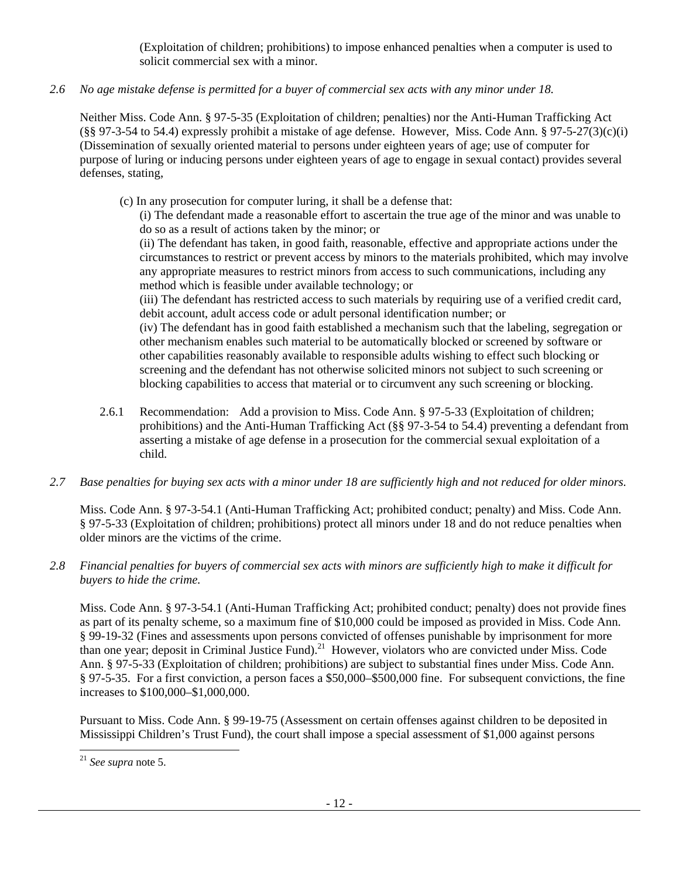(Exploitation of children; prohibitions) to impose enhanced penalties when a computer is used to solicit commercial sex with a minor.

*2.6 No age mistake defense is permitted for a buyer of commercial sex acts with any minor under 18.* 

Neither Miss. Code Ann. § 97-5-35 (Exploitation of children; penalties) nor the Anti-Human Trafficking Act  $(\S$ § 97-3-54 to 54.4) expressly prohibit a mistake of age defense. However, Miss. Code Ann. § 97-5-27(3)(c)(i) (Dissemination of sexually oriented material to persons under eighteen years of age; use of computer for purpose of luring or inducing persons under eighteen years of age to engage in sexual contact) provides several defenses, stating,

(c) In any prosecution for computer luring, it shall be a defense that:

(i) The defendant made a reasonable effort to ascertain the true age of the minor and was unable to do so as a result of actions taken by the minor; or

(ii) The defendant has taken, in good faith, reasonable, effective and appropriate actions under the circumstances to restrict or prevent access by minors to the materials prohibited, which may involve any appropriate measures to restrict minors from access to such communications, including any method which is feasible under available technology; or

(iii) The defendant has restricted access to such materials by requiring use of a verified credit card, debit account, adult access code or adult personal identification number; or

(iv) The defendant has in good faith established a mechanism such that the labeling, segregation or other mechanism enables such material to be automatically blocked or screened by software or other capabilities reasonably available to responsible adults wishing to effect such blocking or screening and the defendant has not otherwise solicited minors not subject to such screening or blocking capabilities to access that material or to circumvent any such screening or blocking.

- 2.6.1 Recommendation: Add a provision to Miss. Code Ann. § 97-5-33 (Exploitation of children; prohibitions) and the Anti-Human Trafficking Act (§§ 97-3-54 to 54.4) preventing a defendant from asserting a mistake of age defense in a prosecution for the commercial sexual exploitation of a child.
- *2.7 Base penalties for buying sex acts with a minor under 18 are sufficiently high and not reduced for older minors.*

Miss. Code Ann. § 97-3-54.1 (Anti-Human Trafficking Act; prohibited conduct; penalty) and Miss. Code Ann. § 97-5-33 (Exploitation of children; prohibitions) protect all minors under 18 and do not reduce penalties when older minors are the victims of the crime.

*2.8 Financial penalties for buyers of commercial sex acts with minors are sufficiently high to make it difficult for buyers to hide the crime.* 

Miss. Code Ann. § 97-3-54.1 (Anti-Human Trafficking Act; prohibited conduct; penalty) does not provide fines as part of its penalty scheme, so a maximum fine of \$10,000 could be imposed as provided in Miss. Code Ann. § 99-19-32 (Fines and assessments upon persons convicted of offenses punishable by imprisonment for more than one year; deposit in Criminal Justice Fund).<sup>21</sup> However, violators who are convicted under Miss. Code Ann. § 97-5-33 (Exploitation of children; prohibitions) are subject to substantial fines under Miss. Code Ann. § 97-5-35. For a first conviction, a person faces a \$50,000–\$500,000 fine. For subsequent convictions, the fine increases to \$100,000–\$1,000,000.

Pursuant to Miss. Code Ann. § 99-19-75 (Assessment on certain offenses against children to be deposited in Mississippi Children's Trust Fund), the court shall impose a special assessment of \$1,000 against persons

<sup>1</sup> <sup>21</sup> *See supra* note 5.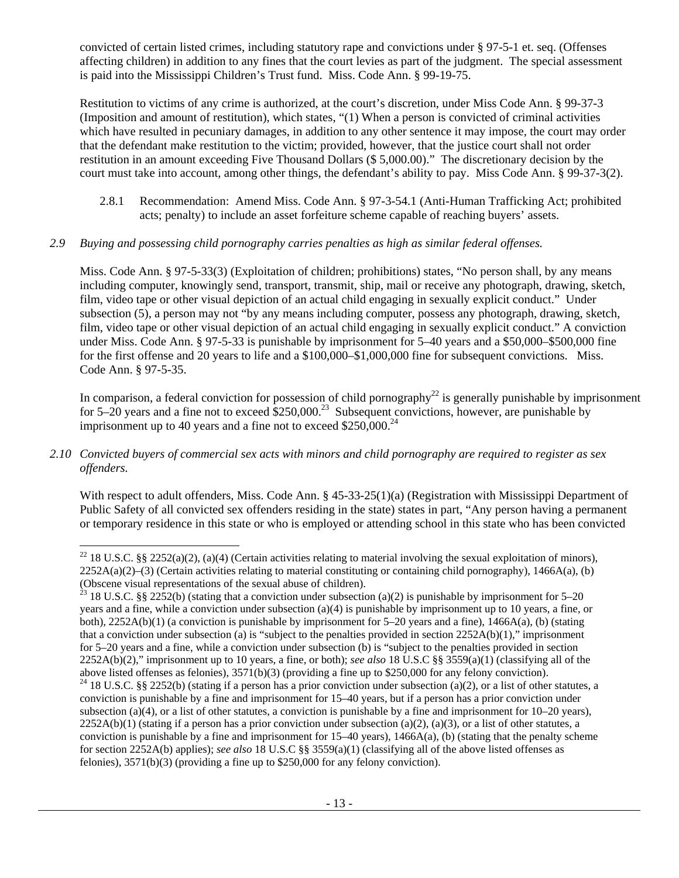convicted of certain listed crimes, including statutory rape and convictions under § 97-5-1 et. seq. (Offenses affecting children) in addition to any fines that the court levies as part of the judgment. The special assessment is paid into the Mississippi Children's Trust fund. Miss. Code Ann. § 99-19-75.

Restitution to victims of any crime is authorized, at the court's discretion, under Miss Code Ann. § 99-37-3 (Imposition and amount of restitution), which states, "(1) When a person is convicted of criminal activities which have resulted in pecuniary damages, in addition to any other sentence it may impose, the court may order that the defendant make restitution to the victim; provided, however, that the justice court shall not order restitution in an amount exceeding Five Thousand Dollars (\$ 5,000.00)." The discretionary decision by the court must take into account, among other things, the defendant's ability to pay. Miss Code Ann. § 99-37-3(2).

2.8.1 Recommendation: Amend Miss. Code Ann. § 97-3-54.1 (Anti-Human Trafficking Act; prohibited acts; penalty) to include an asset forfeiture scheme capable of reaching buyers' assets.

# *2.9 Buying and possessing child pornography carries penalties as high as similar federal offenses.*

Miss. Code Ann. § 97-5-33(3) (Exploitation of children; prohibitions) states, "No person shall, by any means including computer, knowingly send, transport, transmit, ship, mail or receive any photograph, drawing, sketch, film, video tape or other visual depiction of an actual child engaging in sexually explicit conduct." Under subsection (5), a person may not "by any means including computer, possess any photograph, drawing, sketch, film, video tape or other visual depiction of an actual child engaging in sexually explicit conduct." A conviction under Miss. Code Ann. § 97-5-33 is punishable by imprisonment for 5–40 years and a \$50,000–\$500,000 fine for the first offense and 20 years to life and a \$100,000–\$1,000,000 fine for subsequent convictions. Miss. Code Ann. § 97-5-35.

In comparison, a federal conviction for possession of child pornography<sup>22</sup> is generally punishable by imprisonment for 5–20 years and a fine not to exceed  $$250,000.<sup>23</sup>$  Subsequent convictions, however, are punishable by imprisonment up to 40 years and a fine not to exceed  $$250,000.<sup>24</sup>$ 

# *2.10 Convicted buyers of commercial sex acts with minors and child pornography are required to register as sex offenders.*

l

With respect to adult offenders, Miss. Code Ann. § 45-33-25(1)(a) (Registration with Mississippi Department of Public Safety of all convicted sex offenders residing in the state) states in part, "Any person having a permanent or temporary residence in this state or who is employed or attending school in this state who has been convicted

<sup>&</sup>lt;sup>22</sup> 18 U.S.C. §§ 2252(a)(2), (a)(4) (Certain activities relating to material involving the sexual exploitation of minors),  $2252A(a)(2)$ –(3) (Certain activities relating to material constituting or containing child pornography), 1466A(a), (b) (Obscene visual representations of the sexual abuse of children).

<sup>&</sup>lt;sup>23</sup> 18 U.S.C. §§ 2252(b) (stating that a conviction under subsection (a)(2) is punishable by imprisonment for 5–20 years and a fine, while a conviction under subsection (a)(4) is punishable by imprisonment up to 10 years, a fine, or both), 2252A(b)(1) (a conviction is punishable by imprisonment for 5–20 years and a fine), 1466A(a), (b) (stating that a conviction under subsection (a) is "subject to the penalties provided in section  $2252A(b)(1)$ ," imprisonment for 5–20 years and a fine, while a conviction under subsection (b) is "subject to the penalties provided in section 2252A(b)(2)," imprisonment up to 10 years, a fine, or both); *see also* 18 U.S.C §§ 3559(a)(1) (classifying all of the above listed offenses as felonies), 3571(b)(3) (providing a fine up to \$250,000 for any felony conviction).

<sup>&</sup>lt;sup>24</sup> 18 U.S.C. §§ 2252(b) (stating if a person has a prior conviction under subsection (a)(2), or a list of other statutes, a conviction is punishable by a fine and imprisonment for 15–40 years, but if a person has a prior conviction under subsection (a)(4), or a list of other statutes, a conviction is punishable by a fine and imprisonment for  $10-20$  years),  $2252A(b)(1)$  (stating if a person has a prior conviction under subsection (a)(2), (a)(3), or a list of other statutes, a conviction is punishable by a fine and imprisonment for 15–40 years), 1466A(a), (b) (stating that the penalty scheme for section 2252A(b) applies); *see also* 18 U.S.C §§ 3559(a)(1) (classifying all of the above listed offenses as felonies), 3571(b)(3) (providing a fine up to \$250,000 for any felony conviction).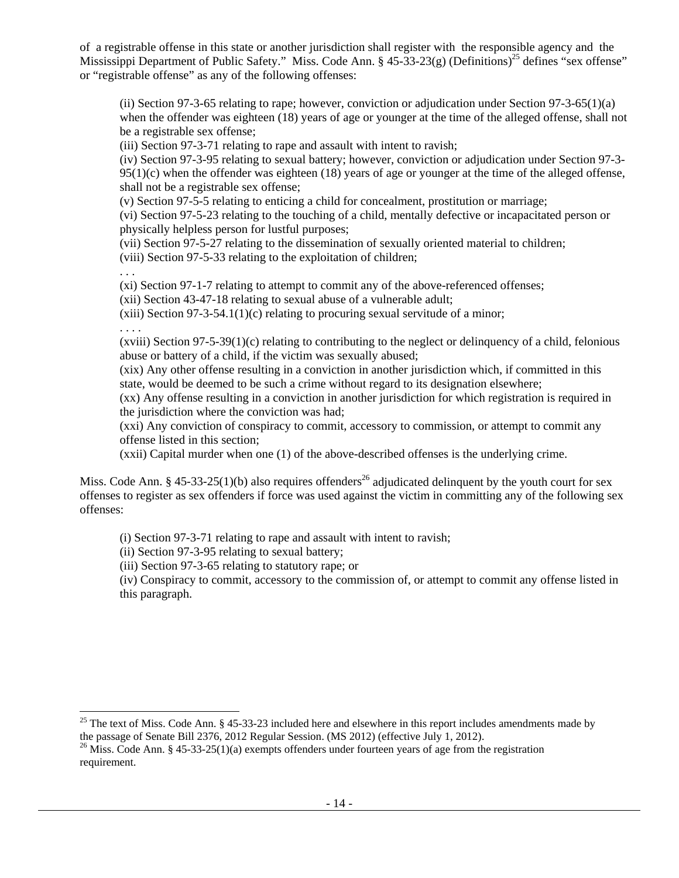of a registrable offense in this state or another jurisdiction shall register with the responsible agency and the Mississippi Department of Public Safety." Miss. Code Ann. §  $45-33-23(g)$  (Definitions)<sup>25</sup> defines "sex offense" or "registrable offense" as any of the following offenses:

(ii) Section 97-3-65 relating to rape; however, conviction or adjudication under Section 97-3-65(1)(a) when the offender was eighteen (18) years of age or younger at the time of the alleged offense, shall not be a registrable sex offense;

(iii) Section 97-3-71 relating to rape and assault with intent to ravish;

(iv) Section 97-3-95 relating to sexual battery; however, conviction or adjudication under Section 97-3- 95(1)(c) when the offender was eighteen (18) years of age or younger at the time of the alleged offense, shall not be a registrable sex offense;

(v) Section 97-5-5 relating to enticing a child for concealment, prostitution or marriage;

(vi) Section 97-5-23 relating to the touching of a child, mentally defective or incapacitated person or physically helpless person for lustful purposes;

(vii) Section 97-5-27 relating to the dissemination of sexually oriented material to children;

(viii) Section 97-5-33 relating to the exploitation of children;

. . .

(xi) Section 97-1-7 relating to attempt to commit any of the above-referenced offenses;

(xii) Section 43-47-18 relating to sexual abuse of a vulnerable adult;

 $(xiii)$  Section 97-3-54.1(1)(c) relating to procuring sexual servitude of a minor;

. . . .

l

 $(xviii)$  Section 97-5-39(1)(c) relating to contributing to the neglect or delinquency of a child, felonious abuse or battery of a child, if the victim was sexually abused;

(xix) Any other offense resulting in a conviction in another jurisdiction which, if committed in this state, would be deemed to be such a crime without regard to its designation elsewhere;

(xx) Any offense resulting in a conviction in another jurisdiction for which registration is required in the jurisdiction where the conviction was had;

(xxi) Any conviction of conspiracy to commit, accessory to commission, or attempt to commit any offense listed in this section;

(xxii) Capital murder when one (1) of the above-described offenses is the underlying crime.

Miss. Code Ann. § 45-33-25(1)(b) also requires offenders<sup>26</sup> adjudicated delinquent by the youth court for sex offenses to register as sex offenders if force was used against the victim in committing any of the following sex offenses:

(i) Section 97-3-71 relating to rape and assault with intent to ravish;

(ii) Section 97-3-95 relating to sexual battery;

(iii) Section 97-3-65 relating to statutory rape; or

(iv) Conspiracy to commit, accessory to the commission of, or attempt to commit any offense listed in this paragraph.

<sup>25</sup> The text of Miss. Code Ann. § 45-33-23 included here and elsewhere in this report includes amendments made by the passage of Senate Bill 2376, 2012 Regular Session. (MS 2012) (effective July 1, 2012). <sup>26</sup> Miss. Code Ann. § 45-33-25(1)(a) exempts offenders under fourteen years of age from the registration

requirement.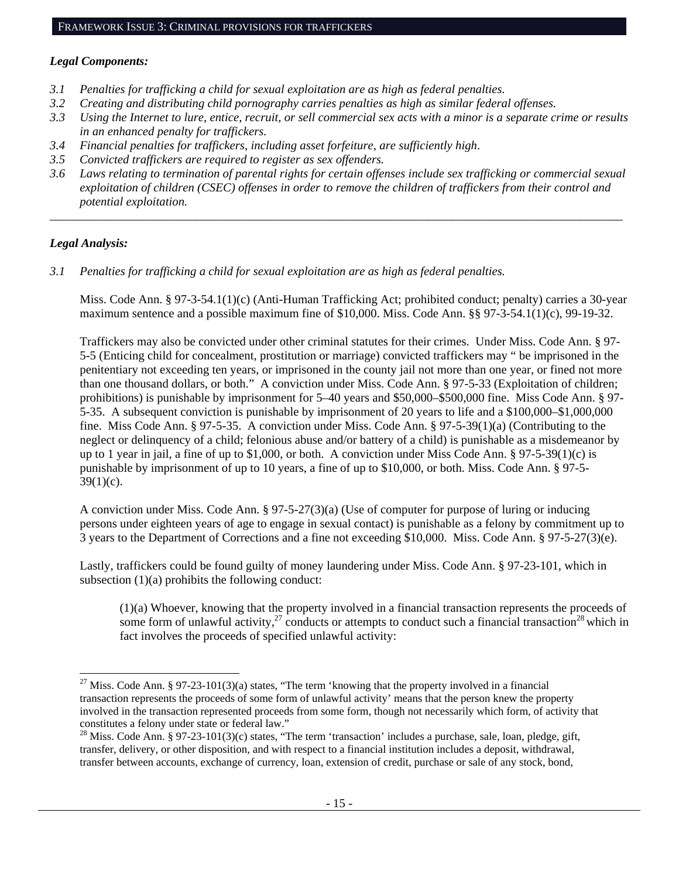# *Legal Components:*

- *3.1 Penalties for trafficking a child for sexual exploitation are as high as federal penalties.*
- *3.2 Creating and distributing child pornography carries penalties as high as similar federal offenses.*
- *3.3 Using the Internet to lure, entice, recruit, or sell commercial sex acts with a minor is a separate crime or results in an enhanced penalty for traffickers.*
- *3.4 Financial penalties for traffickers, including asset forfeiture, are sufficiently high*.
- *3.5 Convicted traffickers are required to register as sex offenders.*
- *3.6 Laws relating to termination of parental rights for certain offenses include sex trafficking or commercial sexual exploitation of children (CSEC) offenses in order to remove the children of traffickers from their control and potential exploitation.*

*\_\_\_\_\_\_\_\_\_\_\_\_\_\_\_\_\_\_\_\_\_\_\_\_\_\_\_\_\_\_\_\_\_\_\_\_\_\_\_\_\_\_\_\_\_\_\_\_\_\_\_\_\_\_\_\_\_\_\_\_\_\_\_\_\_\_\_\_\_\_\_\_\_\_\_\_\_\_\_\_\_\_\_\_\_\_\_\_\_\_\_\_\_\_* 

# *Legal Analysis:*

*3.1 Penalties for trafficking a child for sexual exploitation are as high as federal penalties.* 

Miss. Code Ann. § 97-3-54.1(1)(c) (Anti-Human Trafficking Act; prohibited conduct; penalty) carries a 30-year maximum sentence and a possible maximum fine of \$10,000. Miss. Code Ann. §§ 97-3-54.1(1)(c), 99-19-32.

Traffickers may also be convicted under other criminal statutes for their crimes. Under Miss. Code Ann. § 97- 5-5 (Enticing child for concealment, prostitution or marriage) convicted traffickers may " be imprisoned in the penitentiary not exceeding ten years, or imprisoned in the county jail not more than one year, or fined not more than one thousand dollars, or both." A conviction under Miss. Code Ann. § 97-5-33 (Exploitation of children; prohibitions) is punishable by imprisonment for 5–40 years and \$50,000–\$500,000 fine. Miss Code Ann. § 97- 5-35. A subsequent conviction is punishable by imprisonment of 20 years to life and a \$100,000–\$1,000,000 fine. Miss Code Ann. § 97-5-35. A conviction under Miss. Code Ann. § 97-5-39(1)(a) (Contributing to the neglect or delinquency of a child; felonious abuse and/or battery of a child) is punishable as a misdemeanor by up to 1 year in jail, a fine of up to \$1,000, or both. A conviction under Miss Code Ann. § 97-5-39(1)(c) is punishable by imprisonment of up to 10 years, a fine of up to \$10,000, or both. Miss. Code Ann. § 97-5-  $39(1)(c)$ .

A conviction under Miss. Code Ann. § 97-5-27(3)(a) (Use of computer for purpose of luring or inducing persons under eighteen years of age to engage in sexual contact) is punishable as a felony by commitment up to 3 years to the Department of Corrections and a fine not exceeding \$10,000. Miss. Code Ann. § 97-5-27(3)(e).

Lastly, traffickers could be found guilty of money laundering under Miss. Code Ann. § 97-23-101, which in subsection  $(1)(a)$  prohibits the following conduct:

(1)(a) Whoever, knowing that the property involved in a financial transaction represents the proceeds of some form of unlawful activity,<sup>27</sup> conducts or attempts to conduct such a financial transaction<sup>28</sup> which in fact involves the proceeds of specified unlawful activity:

<sup>1</sup> <sup>27</sup> Miss. Code Ann. § 97-23-101(3)(a) states, "The term 'knowing that the property involved in a financial transaction represents the proceeds of some form of unlawful activity' means that the person knew the property involved in the transaction represented proceeds from some form, though not necessarily which form, of activity that constitutes a felony under state or federal law."

 $^{28}$  Miss. Code Ann. § 97-23-101(3)(c) states, "The term 'transaction' includes a purchase, sale, loan, pledge, gift, transfer, delivery, or other disposition, and with respect to a financial institution includes a deposit, withdrawal, transfer between accounts, exchange of currency, loan, extension of credit, purchase or sale of any stock, bond,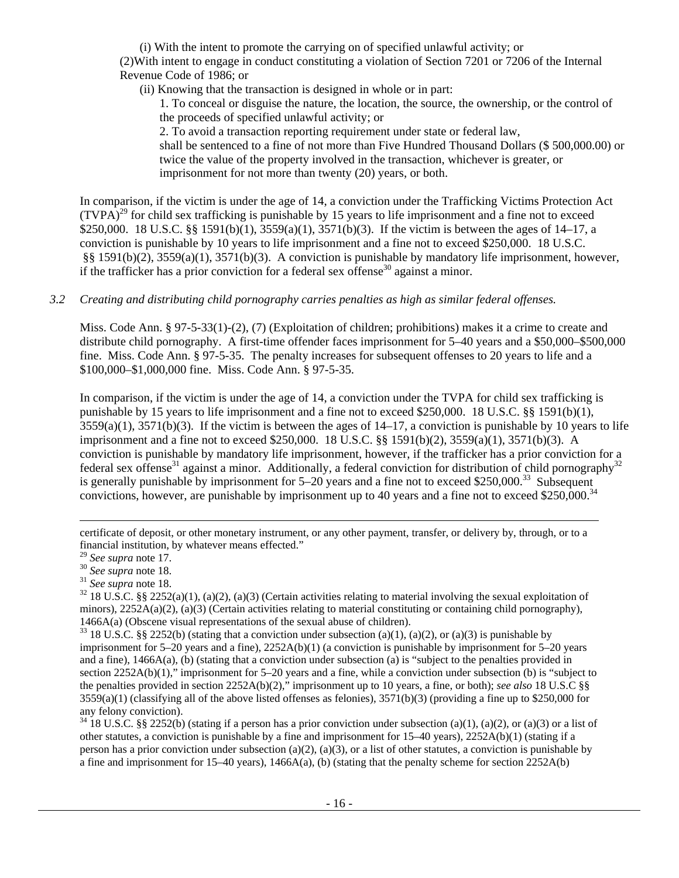(i) With the intent to promote the carrying on of specified unlawful activity; or (2)With intent to engage in conduct constituting a violation of Section 7201 or 7206 of the Internal Revenue Code of 1986; or

(ii) Knowing that the transaction is designed in whole or in part:

1. To conceal or disguise the nature, the location, the source, the ownership, or the control of the proceeds of specified unlawful activity; or

2. To avoid a transaction reporting requirement under state or federal law,

shall be sentenced to a fine of not more than Five Hundred Thousand Dollars (\$ 500,000.00) or twice the value of the property involved in the transaction, whichever is greater, or imprisonment for not more than twenty (20) years, or both.

In comparison, if the victim is under the age of 14, a conviction under the Trafficking Victims Protection Act  $(TVPA)<sup>29</sup>$  for child sex trafficking is punishable by 15 years to life imprisonment and a fine not to exceed \$250,000. 18 U.S.C. §§ 1591(b)(1), 3559(a)(1), 3571(b)(3). If the victim is between the ages of 14–17, a conviction is punishable by 10 years to life imprisonment and a fine not to exceed \$250,000. 18 U.S.C. §§ 1591(b)(2), 3559(a)(1), 3571(b)(3). A conviction is punishable by mandatory life imprisonment, however, if the trafficker has a prior conviction for a federal sex offense<sup>30</sup> against a minor.

# *3.2 Creating and distributing child pornography carries penalties as high as similar federal offenses.*

Miss. Code Ann. § 97-5-33(1)-(2), (7) (Exploitation of children; prohibitions) makes it a crime to create and distribute child pornography. A first-time offender faces imprisonment for 5–40 years and a \$50,000–\$500,000 fine. Miss. Code Ann. § 97-5-35. The penalty increases for subsequent offenses to 20 years to life and a \$100,000–\$1,000,000 fine. Miss. Code Ann. § 97-5-35.

In comparison, if the victim is under the age of 14, a conviction under the TVPA for child sex trafficking is punishable by 15 years to life imprisonment and a fine not to exceed \$250,000. 18 U.S.C. §§ 1591(b)(1),  $3559(a)(1)$ ,  $3571(b)(3)$ . If the victim is between the ages of  $14-17$ , a conviction is punishable by 10 years to life imprisonment and a fine not to exceed \$250,000. 18 U.S.C. §§ 1591(b)(2), 3559(a)(1), 3571(b)(3). A conviction is punishable by mandatory life imprisonment, however, if the trafficker has a prior conviction for a federal sex offense<sup>31</sup> against a minor. Additionally, a federal conviction for distribution of child pornography<sup>32</sup> is generally punishable by imprisonment for  $5-20$  years and a fine not to exceed \$250,000.<sup>33</sup> Subsequent convictions, however, are punishable by imprisonment up to 40 years and a fine not to exceed \$250,000.<sup>34</sup>

l

<sup>34</sup> 18 U.S.C. §§ 2252(b) (stating if a person has a prior conviction under subsection (a)(1), (a)(2), or (a)(3) or a list of other statutes, a conviction is punishable by a fine and imprisonment for 15–40 years), 2252A(b)(1) (stating if a person has a prior conviction under subsection (a)(2), (a)(3), or a list of other statutes, a conviction is punishable by a fine and imprisonment for 15–40 years), 1466A(a), (b) (stating that the penalty scheme for section 2252A(b)

certificate of deposit, or other monetary instrument, or any other payment, transfer, or delivery by, through, or to a financial institution, by whatever means effected."

<sup>&</sup>lt;sup>29</sup> *See supra* note 17.<br><sup>30</sup> *See supra* note 18.<br><sup>31</sup> *See supra* note 18.<br><sup>32</sup> 18 U.S.C. §§ 2252(a)(1), (a)(2), (a)(3) (Certain activities relating to material involving the sexual exploitation of minors),  $2252A(a)(2)$ ,  $(a)(3)$  (Certain activities relating to material constituting or containing child pornography), 1466A(a) (Obscene visual representations of the sexual abuse of children).<br><sup>33</sup> 18 U.S.C. §§ 2252(b) (stating that a conviction under subsection (a)(1), (a)(2), or (a)(3) is punishable by

imprisonment for 5–20 years and a fine), 2252A(b)(1) (a conviction is punishable by imprisonment for 5–20 years and a fine), 1466A(a), (b) (stating that a conviction under subsection (a) is "subject to the penalties provided in section 2252A(b)(1)," imprisonment for 5–20 years and a fine, while a conviction under subsection (b) is "subject to the penalties provided in section 2252A(b)(2)," imprisonment up to 10 years, a fine, or both); *see also* 18 U.S.C §§  $3559(a)(1)$  (classifying all of the above listed offenses as felonies),  $3571(b)(3)$  (providing a fine up to \$250,000 for any felony conviction).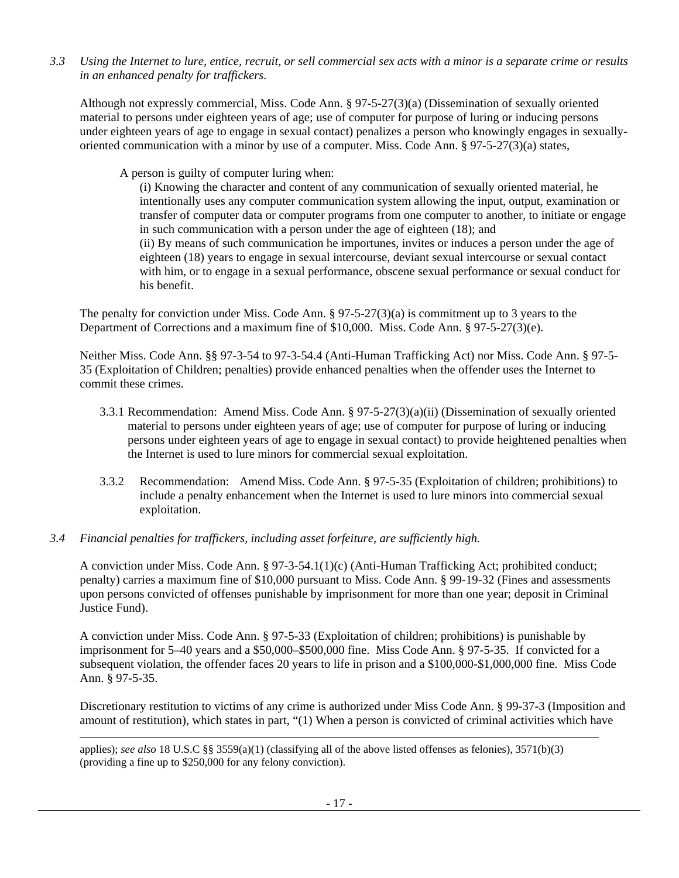*3.3 Using the Internet to lure, entice, recruit, or sell commercial sex acts with a minor is a separate crime or results in an enhanced penalty for traffickers.* 

Although not expressly commercial, Miss. Code Ann. § 97-5-27(3)(a) (Dissemination of sexually oriented material to persons under eighteen years of age; use of computer for purpose of luring or inducing persons under eighteen years of age to engage in sexual contact) penalizes a person who knowingly engages in sexuallyoriented communication with a minor by use of a computer. Miss. Code Ann. § 97-5-27(3)(a) states,

A person is guilty of computer luring when:

(i) Knowing the character and content of any communication of sexually oriented material, he intentionally uses any computer communication system allowing the input, output, examination or transfer of computer data or computer programs from one computer to another, to initiate or engage in such communication with a person under the age of eighteen (18); and (ii) By means of such communication he importunes, invites or induces a person under the age of eighteen (18) years to engage in sexual intercourse, deviant sexual intercourse or sexual contact with him, or to engage in a sexual performance, obscene sexual performance or sexual conduct for his benefit.

The penalty for conviction under Miss. Code Ann. § 97-5-27(3)(a) is commitment up to 3 years to the Department of Corrections and a maximum fine of \$10,000. Miss. Code Ann. § 97-5-27(3)(e).

Neither Miss. Code Ann. §§ 97-3-54 to 97-3-54.4 (Anti-Human Trafficking Act) nor Miss. Code Ann. § 97-5- 35 (Exploitation of Children; penalties) provide enhanced penalties when the offender uses the Internet to commit these crimes.

- 3.3.1 Recommendation: Amend Miss. Code Ann. § 97-5-27(3)(a)(ii) (Dissemination of sexually oriented material to persons under eighteen years of age; use of computer for purpose of luring or inducing persons under eighteen years of age to engage in sexual contact) to provide heightened penalties when the Internet is used to lure minors for commercial sexual exploitation.
- 3.3.2 Recommendation: Amend Miss. Code Ann. § 97-5-35 (Exploitation of children; prohibitions) to include a penalty enhancement when the Internet is used to lure minors into commercial sexual exploitation.
- *3.4 Financial penalties for traffickers, including asset forfeiture, are sufficiently high.*

1

A conviction under Miss. Code Ann. § 97-3-54.1(1)(c) (Anti-Human Trafficking Act; prohibited conduct; penalty) carries a maximum fine of \$10,000 pursuant to Miss. Code Ann. § 99-19-32 (Fines and assessments upon persons convicted of offenses punishable by imprisonment for more than one year; deposit in Criminal Justice Fund).

A conviction under Miss. Code Ann. § 97-5-33 (Exploitation of children; prohibitions) is punishable by imprisonment for 5–40 years and a \$50,000–\$500,000 fine. Miss Code Ann. § 97-5-35. If convicted for a subsequent violation, the offender faces 20 years to life in prison and a \$100,000-\$1,000,000 fine. Miss Code Ann. § 97-5-35.

Discretionary restitution to victims of any crime is authorized under Miss Code Ann. § 99-37-3 (Imposition and amount of restitution), which states in part, "(1) When a person is convicted of criminal activities which have

applies); *see also* 18 U.S.C §§ 3559(a)(1) (classifying all of the above listed offenses as felonies), 3571(b)(3) (providing a fine up to \$250,000 for any felony conviction).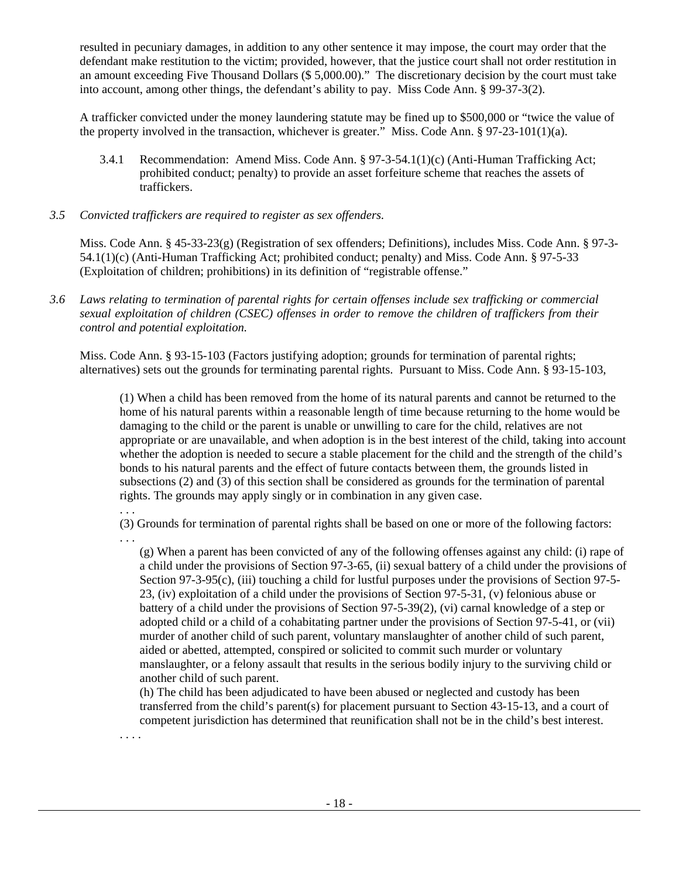resulted in pecuniary damages, in addition to any other sentence it may impose, the court may order that the defendant make restitution to the victim; provided, however, that the justice court shall not order restitution in an amount exceeding Five Thousand Dollars (\$ 5,000.00)." The discretionary decision by the court must take into account, among other things, the defendant's ability to pay. Miss Code Ann. § 99-37-3(2).

A trafficker convicted under the money laundering statute may be fined up to \$500,000 or "twice the value of the property involved in the transaction, whichever is greater." Miss. Code Ann.  $\S 97-23-101(1)(a)$ .

- 3.4.1 Recommendation: Amend Miss. Code Ann. § 97-3-54.1(1)(c) (Anti-Human Trafficking Act; prohibited conduct; penalty) to provide an asset forfeiture scheme that reaches the assets of traffickers.
- *3.5 Convicted traffickers are required to register as sex offenders.*

Miss. Code Ann. § 45-33-23(g) (Registration of sex offenders; Definitions), includes Miss. Code Ann. § 97-3- 54.1(1)(c) (Anti-Human Trafficking Act; prohibited conduct; penalty) and Miss. Code Ann. § 97-5-33 (Exploitation of children; prohibitions) in its definition of "registrable offense."

*3.6 Laws relating to termination of parental rights for certain offenses include sex trafficking or commercial sexual exploitation of children (CSEC) offenses in order to remove the children of traffickers from their control and potential exploitation.* 

Miss. Code Ann. § 93-15-103 (Factors justifying adoption; grounds for termination of parental rights; alternatives) sets out the grounds for terminating parental rights. Pursuant to Miss. Code Ann. § 93-15-103,

(1) When a child has been removed from the home of its natural parents and cannot be returned to the home of his natural parents within a reasonable length of time because returning to the home would be damaging to the child or the parent is unable or unwilling to care for the child, relatives are not appropriate or are unavailable, and when adoption is in the best interest of the child, taking into account whether the adoption is needed to secure a stable placement for the child and the strength of the child's bonds to his natural parents and the effect of future contacts between them, the grounds listed in subsections (2) and (3) of this section shall be considered as grounds for the termination of parental rights. The grounds may apply singly or in combination in any given case.

(3) Grounds for termination of parental rights shall be based on one or more of the following factors:

. . .

. . .

(g) When a parent has been convicted of any of the following offenses against any child: (i) rape of a child under the provisions of Section 97-3-65, (ii) sexual battery of a child under the provisions of Section 97-3-95(c), (iii) touching a child for lustful purposes under the provisions of Section 97-5-23, (iv) exploitation of a child under the provisions of Section 97-5-31, (v) felonious abuse or battery of a child under the provisions of Section 97-5-39(2), (vi) carnal knowledge of a step or adopted child or a child of a cohabitating partner under the provisions of Section 97-5-41, or (vii) murder of another child of such parent, voluntary manslaughter of another child of such parent, aided or abetted, attempted, conspired or solicited to commit such murder or voluntary manslaughter, or a felony assault that results in the serious bodily injury to the surviving child or another child of such parent.

(h) The child has been adjudicated to have been abused or neglected and custody has been transferred from the child's parent(s) for placement pursuant to Section 43-15-13, and a court of competent jurisdiction has determined that reunification shall not be in the child's best interest.

. . . .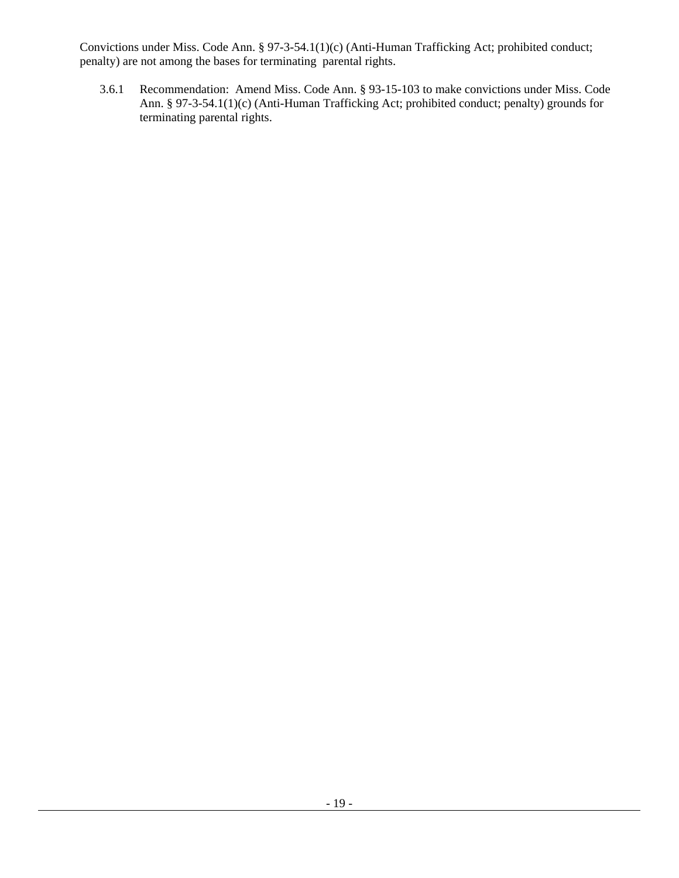Convictions under Miss. Code Ann. § 97-3-54.1(1)(c) (Anti-Human Trafficking Act; prohibited conduct; penalty) are not among the bases for terminating parental rights.

3.6.1 Recommendation: Amend Miss. Code Ann. § 93-15-103 to make convictions under Miss. Code Ann. § 97-3-54.1(1)(c) (Anti-Human Trafficking Act; prohibited conduct; penalty) grounds for terminating parental rights.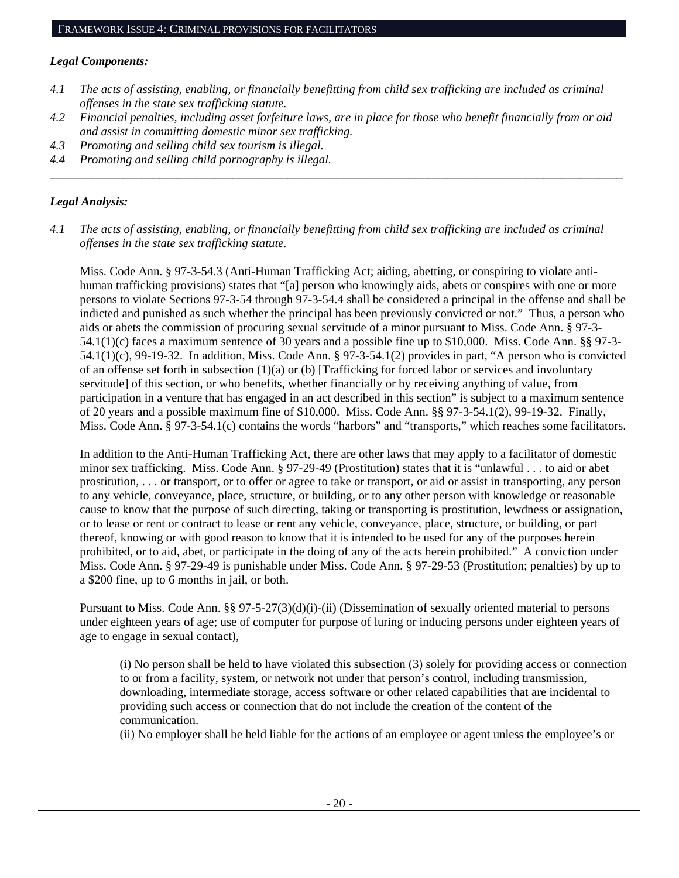# *Legal Components:*

- *4.1 The acts of assisting, enabling, or financially benefitting from child sex trafficking are included as criminal offenses in the state sex trafficking statute.*
- *4.2 Financial penalties, including asset forfeiture laws, are in place for those who benefit financially from or aid and assist in committing domestic minor sex trafficking.*
- *4.3 Promoting and selling child sex tourism is illegal.*
- *4.4 Promoting and selling child pornography is illegal. \_\_\_\_\_\_\_\_\_\_\_\_\_\_\_\_\_\_\_\_\_\_\_\_\_\_\_\_\_\_\_\_\_\_\_\_\_\_\_\_\_\_\_\_\_\_\_\_\_\_\_\_\_\_\_\_\_\_\_\_\_\_\_\_\_\_\_\_\_\_\_\_\_\_\_\_\_\_\_\_\_\_\_\_\_\_\_\_\_\_\_\_\_\_*

# *Legal Analysis:*

*4.1 The acts of assisting, enabling, or financially benefitting from child sex trafficking are included as criminal offenses in the state sex trafficking statute.*

Miss. Code Ann. § 97-3-54.3 (Anti-Human Trafficking Act; aiding, abetting, or conspiring to violate antihuman trafficking provisions) states that "[a] person who knowingly aids, abets or conspires with one or more persons to violate Sections 97-3-54 through 97-3-54.4 shall be considered a principal in the offense and shall be indicted and punished as such whether the principal has been previously convicted or not." Thus, a person who aids or abets the commission of procuring sexual servitude of a minor pursuant to Miss. Code Ann. § 97-3- 54.1(1)(c) faces a maximum sentence of 30 years and a possible fine up to \$10,000. Miss. Code Ann. §§ 97-3- 54.1(1)(c), 99-19-32. In addition, Miss. Code Ann. § 97-3-54.1(2) provides in part, "A person who is convicted of an offense set forth in subsection  $(1)(a)$  or (b) [Trafficking for forced labor or services and involuntary servitude] of this section, or who benefits, whether financially or by receiving anything of value, from participation in a venture that has engaged in an act described in this section" is subject to a maximum sentence of 20 years and a possible maximum fine of \$10,000. Miss. Code Ann. §§ 97-3-54.1(2), 99-19-32. Finally, Miss. Code Ann. § 97-3-54.1(c) contains the words "harbors" and "transports," which reaches some facilitators.

In addition to the Anti-Human Trafficking Act, there are other laws that may apply to a facilitator of domestic minor sex trafficking. Miss. Code Ann. § 97-29-49 (Prostitution) states that it is "unlawful . . . to aid or abet prostitution, . . . or transport, or to offer or agree to take or transport, or aid or assist in transporting, any person to any vehicle, conveyance, place, structure, or building, or to any other person with knowledge or reasonable cause to know that the purpose of such directing, taking or transporting is prostitution, lewdness or assignation, or to lease or rent or contract to lease or rent any vehicle, conveyance, place, structure, or building, or part thereof, knowing or with good reason to know that it is intended to be used for any of the purposes herein prohibited, or to aid, abet, or participate in the doing of any of the acts herein prohibited." A conviction under Miss. Code Ann. § 97-29-49 is punishable under Miss. Code Ann. § 97-29-53 (Prostitution; penalties) by up to a \$200 fine, up to 6 months in jail, or both.

Pursuant to Miss. Code Ann. §§ 97-5-27(3)(d)(i)-(ii) (Dissemination of sexually oriented material to persons under eighteen years of age; use of computer for purpose of luring or inducing persons under eighteen years of age to engage in sexual contact),

(i) No person shall be held to have violated this subsection (3) solely for providing access or connection to or from a facility, system, or network not under that person's control, including transmission, downloading, intermediate storage, access software or other related capabilities that are incidental to providing such access or connection that do not include the creation of the content of the communication.

(ii) No employer shall be held liable for the actions of an employee or agent unless the employee's or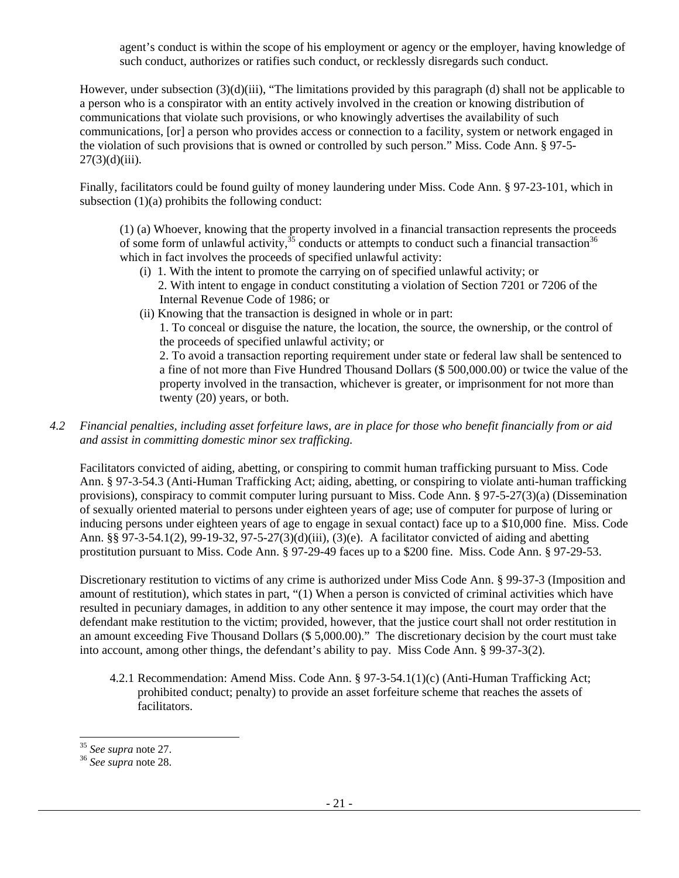agent's conduct is within the scope of his employment or agency or the employer, having knowledge of such conduct, authorizes or ratifies such conduct, or recklessly disregards such conduct.

However, under subsection (3)(d)(iii), "The limitations provided by this paragraph (d) shall not be applicable to a person who is a conspirator with an entity actively involved in the creation or knowing distribution of communications that violate such provisions, or who knowingly advertises the availability of such communications, [or] a person who provides access or connection to a facility, system or network engaged in the violation of such provisions that is owned or controlled by such person." Miss. Code Ann. § 97-5-  $27(3)(d)(iii)$ .

Finally, facilitators could be found guilty of money laundering under Miss. Code Ann. § 97-23-101, which in subsection  $(1)(a)$  prohibits the following conduct:

(1) (a) Whoever, knowing that the property involved in a financial transaction represents the proceeds of some form of unlawful activity,<sup>35</sup> conducts or attempts to conduct such a financial transaction<sup>36</sup> which in fact involves the proceeds of specified unlawful activity:

- (i) 1. With the intent to promote the carrying on of specified unlawful activity; or 2. With intent to engage in conduct constituting a violation of Section 7201 or 7206 of the Internal Revenue Code of 1986; or
- (ii) Knowing that the transaction is designed in whole or in part:

1. To conceal or disguise the nature, the location, the source, the ownership, or the control of the proceeds of specified unlawful activity; or

2. To avoid a transaction reporting requirement under state or federal law shall be sentenced to a fine of not more than Five Hundred Thousand Dollars (\$ 500,000.00) or twice the value of the property involved in the transaction, whichever is greater, or imprisonment for not more than twenty (20) years, or both.

*4.2 Financial penalties, including asset forfeiture laws, are in place for those who benefit financially from or aid and assist in committing domestic minor sex trafficking.* 

Facilitators convicted of aiding, abetting, or conspiring to commit human trafficking pursuant to Miss. Code Ann. § 97-3-54.3 (Anti-Human Trafficking Act; aiding, abetting, or conspiring to violate anti-human trafficking provisions), conspiracy to commit computer luring pursuant to Miss. Code Ann. § 97-5-27(3)(a) (Dissemination of sexually oriented material to persons under eighteen years of age; use of computer for purpose of luring or inducing persons under eighteen years of age to engage in sexual contact) face up to a \$10,000 fine. Miss. Code Ann. §§ 97-3-54.1(2), 99-19-32, 97-5-27(3)(d)(iii), (3)(e). A facilitator convicted of aiding and abetting prostitution pursuant to Miss. Code Ann. § 97-29-49 faces up to a \$200 fine. Miss. Code Ann. § 97-29-53.

Discretionary restitution to victims of any crime is authorized under Miss Code Ann. § 99-37-3 (Imposition and amount of restitution), which states in part, "(1) When a person is convicted of criminal activities which have resulted in pecuniary damages, in addition to any other sentence it may impose, the court may order that the defendant make restitution to the victim; provided, however, that the justice court shall not order restitution in an amount exceeding Five Thousand Dollars (\$ 5,000.00)." The discretionary decision by the court must take into account, among other things, the defendant's ability to pay. Miss Code Ann. § 99-37-3(2).

4.2.1 Recommendation: Amend Miss. Code Ann. § 97-3-54.1(1)(c) (Anti-Human Trafficking Act; prohibited conduct; penalty) to provide an asset forfeiture scheme that reaches the assets of facilitators.

l

<sup>35</sup> *See supra* note 27. 36 *See supra* note 28.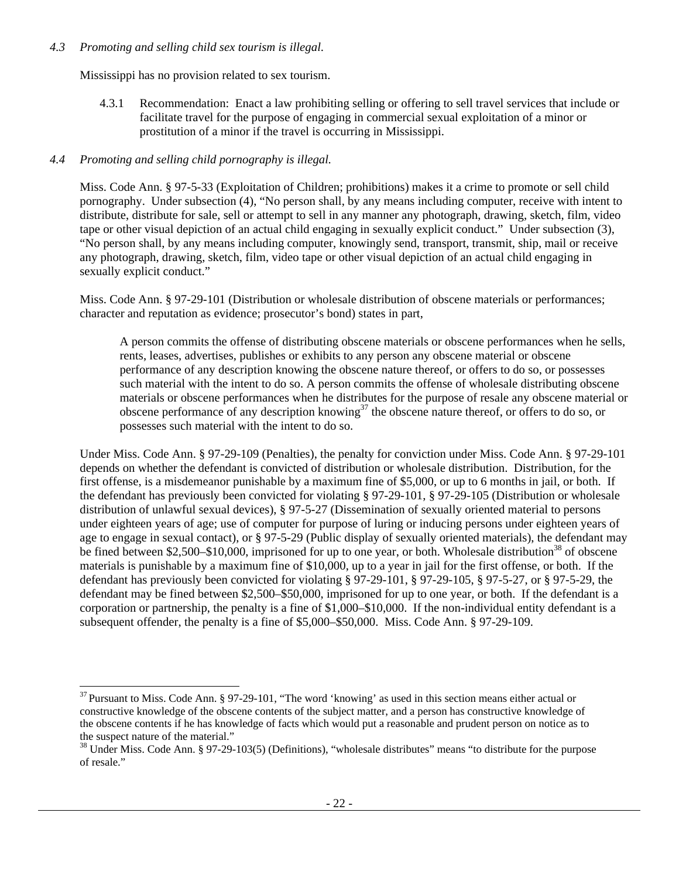# *4.3 Promoting and selling child sex tourism is illegal*.

Mississippi has no provision related to sex tourism.

4.3.1 Recommendation: Enact a law prohibiting selling or offering to sell travel services that include or facilitate travel for the purpose of engaging in commercial sexual exploitation of a minor or prostitution of a minor if the travel is occurring in Mississippi.

# *4.4 Promoting and selling child pornography is illegal.*

l

Miss. Code Ann. § 97-5-33 (Exploitation of Children; prohibitions) makes it a crime to promote or sell child pornography. Under subsection (4), "No person shall, by any means including computer, receive with intent to distribute, distribute for sale, sell or attempt to sell in any manner any photograph, drawing, sketch, film, video tape or other visual depiction of an actual child engaging in sexually explicit conduct." Under subsection (3), "No person shall, by any means including computer, knowingly send, transport, transmit, ship, mail or receive any photograph, drawing, sketch, film, video tape or other visual depiction of an actual child engaging in sexually explicit conduct."

Miss. Code Ann. § 97-29-101 (Distribution or wholesale distribution of obscene materials or performances; character and reputation as evidence; prosecutor's bond) states in part,

A person commits the offense of distributing obscene materials or obscene performances when he sells, rents, leases, advertises, publishes or exhibits to any person any obscene material or obscene performance of any description knowing the obscene nature thereof, or offers to do so, or possesses such material with the intent to do so. A person commits the offense of wholesale distributing obscene materials or obscene performances when he distributes for the purpose of resale any obscene material or obscene performance of any description knowing<sup>37</sup> the obscene nature thereof, or offers to do so, or possesses such material with the intent to do so.

Under Miss. Code Ann. § 97-29-109 (Penalties), the penalty for conviction under Miss. Code Ann. § 97-29-101 depends on whether the defendant is convicted of distribution or wholesale distribution. Distribution, for the first offense, is a misdemeanor punishable by a maximum fine of \$5,000, or up to 6 months in jail, or both. If the defendant has previously been convicted for violating § 97-29-101, § 97-29-105 (Distribution or wholesale distribution of unlawful sexual devices), § 97-5-27 (Dissemination of sexually oriented material to persons under eighteen years of age; use of computer for purpose of luring or inducing persons under eighteen years of age to engage in sexual contact), or  $\S 97-5-29$  (Public display of sexually oriented materials), the defendant may be fined between \$2,500–\$10,000, imprisoned for up to one year, or both. Wholesale distribution<sup>38</sup> of obscene materials is punishable by a maximum fine of \$10,000, up to a year in jail for the first offense, or both. If the defendant has previously been convicted for violating § 97-29-101, § 97-29-105, § 97-5-27, or § 97-5-29, the defendant may be fined between \$2,500–\$50,000, imprisoned for up to one year, or both. If the defendant is a corporation or partnership, the penalty is a fine of \$1,000–\$10,000. If the non-individual entity defendant is a subsequent offender, the penalty is a fine of \$5,000–\$50,000. Miss. Code Ann. § 97-29-109.

 $37$  Pursuant to Miss. Code Ann. § 97-29-101, "The word 'knowing' as used in this section means either actual or constructive knowledge of the obscene contents of the subject matter, and a person has constructive knowledge of the obscene contents if he has knowledge of facts which would put a reasonable and prudent person on notice as to the suspect nature of the material."

<sup>38</sup> Under Miss. Code Ann. § 97-29-103(5) (Definitions), "wholesale distributes" means "to distribute for the purpose of resale."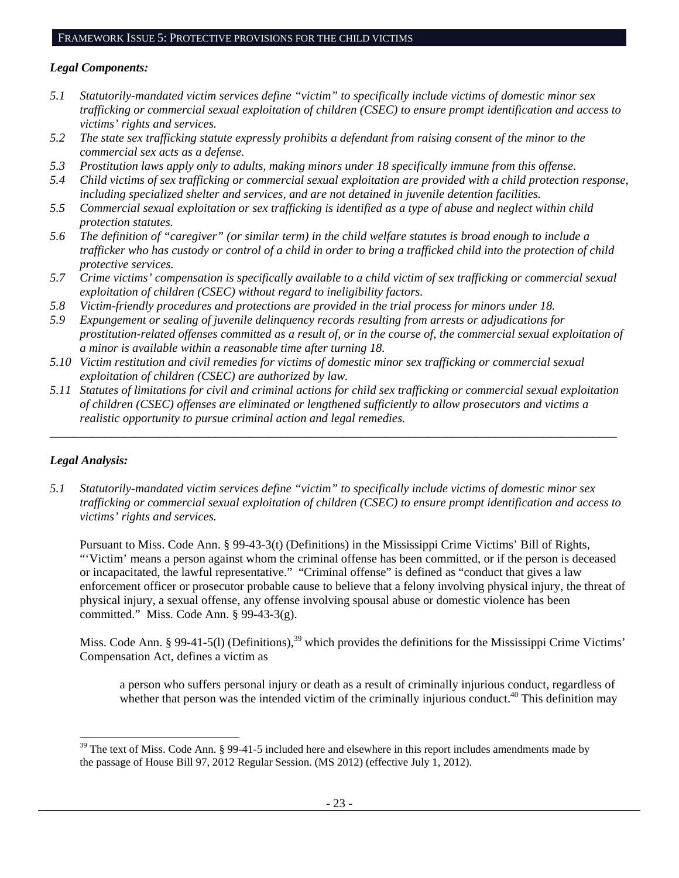# *Legal Components:*

- *5.1 Statutorily-mandated victim services define "victim" to specifically include victims of domestic minor sex trafficking or commercial sexual exploitation of children (CSEC) to ensure prompt identification and access to victims' rights and services.*
- *5.2 The state sex trafficking statute expressly prohibits a defendant from raising consent of the minor to the commercial sex acts as a defense.*
- *5.3 Prostitution laws apply only to adults, making minors under 18 specifically immune from this offense.*
- *5.4 Child victims of sex trafficking or commercial sexual exploitation are provided with a child protection response, including specialized shelter and services, and are not detained in juvenile detention facilities.*
- *5.5 Commercial sexual exploitation or sex trafficking is identified as a type of abuse and neglect within child protection statutes.*
- *5.6 The definition of "caregiver" (or similar term) in the child welfare statutes is broad enough to include a trafficker who has custody or control of a child in order to bring a trafficked child into the protection of child protective services.*
- *5.7 Crime victims' compensation is specifically available to a child victim of sex trafficking or commercial sexual exploitation of children (CSEC) without regard to ineligibility factors.*
- *5.8 Victim-friendly procedures and protections are provided in the trial process for minors under 18.*
- *5.9 Expungement or sealing of juvenile delinquency records resulting from arrests or adjudications for prostitution-related offenses committed as a result of, or in the course of, the commercial sexual exploitation of a minor is available within a reasonable time after turning 18.*
- *5.10 Victim restitution and civil remedies for victims of domestic minor sex trafficking or commercial sexual exploitation of children (CSEC) are authorized by law.*
- *5.11 Statutes of limitations for civil and criminal actions for child sex trafficking or commercial sexual exploitation of children (CSEC) offenses are eliminated or lengthened sufficiently to allow prosecutors and victims a realistic opportunity to pursue criminal action and legal remedies.*

*\_\_\_\_\_\_\_\_\_\_\_\_\_\_\_\_\_\_\_\_\_\_\_\_\_\_\_\_\_\_\_\_\_\_\_\_\_\_\_\_\_\_\_\_\_\_\_\_\_\_\_\_\_\_\_\_\_\_\_\_\_\_\_\_\_\_\_\_\_\_\_\_\_\_\_\_\_\_\_\_\_\_\_\_\_\_\_\_\_\_\_\_\_* 

# *Legal Analysis:*

l

*5.1 Statutorily-mandated victim services define "victim" to specifically include victims of domestic minor sex trafficking or commercial sexual exploitation of children (CSEC) to ensure prompt identification and access to victims' rights and services.* 

Pursuant to Miss. Code Ann. § 99-43-3(t) (Definitions) in the Mississippi Crime Victims' Bill of Rights, "'Victim' means a person against whom the criminal offense has been committed, or if the person is deceased or incapacitated, the lawful representative." "Criminal offense" is defined as "conduct that gives a law enforcement officer or prosecutor probable cause to believe that a felony involving physical injury, the threat of physical injury, a sexual offense, any offense involving spousal abuse or domestic violence has been committed." Miss. Code Ann. § 99-43-3(g).

Miss. Code Ann. § 99-41-5(1) (Definitions),<sup>39</sup> which provides the definitions for the Mississippi Crime Victims' Compensation Act, defines a victim as

a person who suffers personal injury or death as a result of criminally injurious conduct, regardless of whether that person was the intended victim of the criminally injurious conduct.<sup>40</sup> This definition may

 $39$  The text of Miss. Code Ann. § 99-41-5 included here and elsewhere in this report includes amendments made by the passage of House Bill 97, 2012 Regular Session. (MS 2012) (effective July 1, 2012).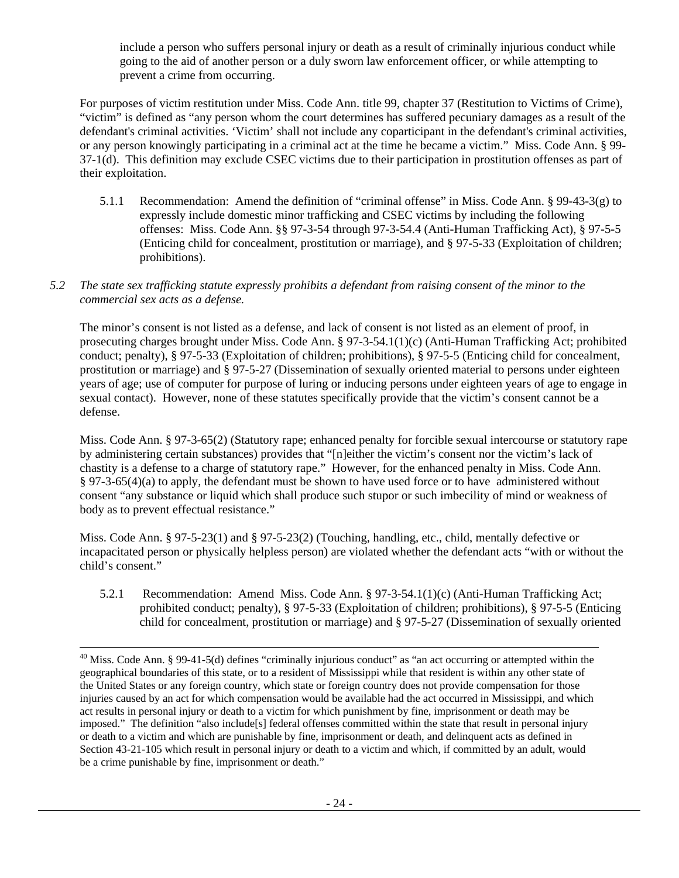include a person who suffers personal injury or death as a result of criminally injurious conduct while going to the aid of another person or a duly sworn law enforcement officer, or while attempting to prevent a crime from occurring.

For purposes of victim restitution under Miss. Code Ann. title 99, chapter 37 (Restitution to Victims of Crime), "victim" is defined as "any person whom the court determines has suffered pecuniary damages as a result of the defendant's criminal activities. 'Victim' shall not include any coparticipant in the defendant's criminal activities, or any person knowingly participating in a criminal act at the time he became a victim." Miss. Code Ann. § 99- 37-1(d). This definition may exclude CSEC victims due to their participation in prostitution offenses as part of their exploitation.

- 5.1.1 Recommendation: Amend the definition of "criminal offense" in Miss. Code Ann. § 99-43-3(g) to expressly include domestic minor trafficking and CSEC victims by including the following offenses: Miss. Code Ann. §§ 97-3-54 through 97-3-54.4 (Anti-Human Trafficking Act), § 97-5-5 (Enticing child for concealment, prostitution or marriage), and § 97-5-33 (Exploitation of children; prohibitions).
- *5.2 The state sex trafficking statute expressly prohibits a defendant from raising consent of the minor to the commercial sex acts as a defense.*

The minor's consent is not listed as a defense, and lack of consent is not listed as an element of proof, in prosecuting charges brought under Miss. Code Ann. § 97-3-54.1(1)(c) (Anti-Human Trafficking Act; prohibited conduct; penalty), § 97-5-33 (Exploitation of children; prohibitions), § 97-5-5 (Enticing child for concealment, prostitution or marriage) and § 97-5-27 (Dissemination of sexually oriented material to persons under eighteen years of age; use of computer for purpose of luring or inducing persons under eighteen years of age to engage in sexual contact). However, none of these statutes specifically provide that the victim's consent cannot be a defense.

Miss. Code Ann. § 97-3-65(2) (Statutory rape; enhanced penalty for forcible sexual intercourse or statutory rape by administering certain substances) provides that "[n]either the victim's consent nor the victim's lack of chastity is a defense to a charge of statutory rape." However, for the enhanced penalty in Miss. Code Ann. § 97-3-65(4)(a) to apply, the defendant must be shown to have used force or to have administered without consent "any substance or liquid which shall produce such stupor or such imbecility of mind or weakness of body as to prevent effectual resistance."

Miss. Code Ann. § 97-5-23(1) and § 97-5-23(2) (Touching, handling, etc., child, mentally defective or incapacitated person or physically helpless person) are violated whether the defendant acts "with or without the child's consent."

5.2.1 Recommendation: Amend Miss. Code Ann. § 97-3-54.1(1)(c) (Anti-Human Trafficking Act; prohibited conduct; penalty), § 97-5-33 (Exploitation of children; prohibitions), § 97-5-5 (Enticing child for concealment, prostitution or marriage) and § 97-5-27 (Dissemination of sexually oriented

<sup>&</sup>lt;sup>40</sup> Miss. Code Ann. § 99-41-5(d) defines "criminally injurious conduct" as "an act occurring or attempted within the geographical boundaries of this state, or to a resident of Mississippi while that resident is within any other state of the United States or any foreign country, which state or foreign country does not provide compensation for those injuries caused by an act for which compensation would be available had the act occurred in Mississippi, and which act results in personal injury or death to a victim for which punishment by fine, imprisonment or death may be imposed." The definition "also include[s] federal offenses committed within the state that result in personal injury or death to a victim and which are punishable by fine, imprisonment or death, and delinquent acts as defined in Section 43-21-105 which result in personal injury or death to a victim and which, if committed by an adult, would be a crime punishable by fine, imprisonment or death."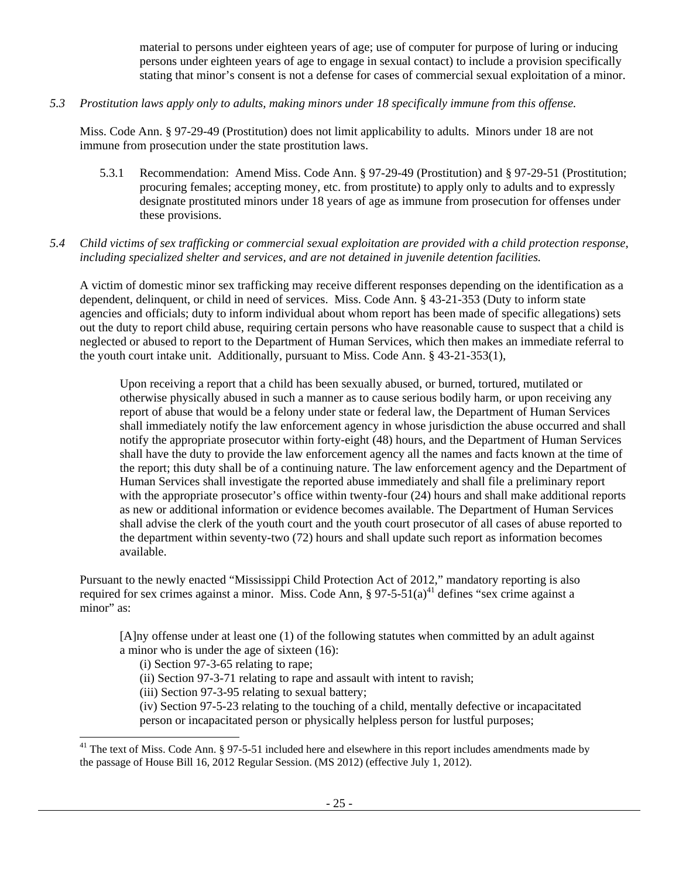material to persons under eighteen years of age; use of computer for purpose of luring or inducing persons under eighteen years of age to engage in sexual contact) to include a provision specifically stating that minor's consent is not a defense for cases of commercial sexual exploitation of a minor.

*5.3 Prostitution laws apply only to adults, making minors under 18 specifically immune from this offense.* 

Miss. Code Ann. § 97-29-49 (Prostitution) does not limit applicability to adults. Minors under 18 are not immune from prosecution under the state prostitution laws.

5.3.1 Recommendation: Amend Miss. Code Ann. § 97-29-49 (Prostitution) and § 97-29-51 (Prostitution; procuring females; accepting money, etc. from prostitute) to apply only to adults and to expressly designate prostituted minors under 18 years of age as immune from prosecution for offenses under these provisions.

# *5.4 Child victims of sex trafficking or commercial sexual exploitation are provided with a child protection response, including specialized shelter and services, and are not detained in juvenile detention facilities.*

A victim of domestic minor sex trafficking may receive different responses depending on the identification as a dependent, delinquent, or child in need of services. Miss. Code Ann. § 43-21-353 (Duty to inform state agencies and officials; duty to inform individual about whom report has been made of specific allegations) sets out the duty to report child abuse, requiring certain persons who have reasonable cause to suspect that a child is neglected or abused to report to the Department of Human Services, which then makes an immediate referral to the youth court intake unit. Additionally, pursuant to Miss. Code Ann. § 43-21-353(1),

Upon receiving a report that a child has been sexually abused, or burned, tortured, mutilated or otherwise physically abused in such a manner as to cause serious bodily harm, or upon receiving any report of abuse that would be a felony under state or federal law, the Department of Human Services shall immediately notify the law enforcement agency in whose jurisdiction the abuse occurred and shall notify the appropriate prosecutor within forty-eight (48) hours, and the Department of Human Services shall have the duty to provide the law enforcement agency all the names and facts known at the time of the report; this duty shall be of a continuing nature. The law enforcement agency and the Department of Human Services shall investigate the reported abuse immediately and shall file a preliminary report with the appropriate prosecutor's office within twenty-four (24) hours and shall make additional reports as new or additional information or evidence becomes available. The Department of Human Services shall advise the clerk of the youth court and the youth court prosecutor of all cases of abuse reported to the department within seventy-two (72) hours and shall update such report as information becomes available.

Pursuant to the newly enacted "Mississippi Child Protection Act of 2012," mandatory reporting is also required for sex crimes against a minor. Miss. Code Ann,  $\frac{8}{97}$ -5-51(a)<sup>41</sup> defines "sex crime against a minor" as:

[A]ny offense under at least one (1) of the following statutes when committed by an adult against a minor who is under the age of sixteen (16):

(i) Section 97-3-65 relating to rape;

1

(ii) Section 97-3-71 relating to rape and assault with intent to ravish;

(iii) Section 97-3-95 relating to sexual battery;

(iv) Section 97-5-23 relating to the touching of a child, mentally defective or incapacitated person or incapacitated person or physically helpless person for lustful purposes;

 $41$  The text of Miss. Code Ann. § 97-5-51 included here and elsewhere in this report includes amendments made by the passage of House Bill 16, 2012 Regular Session. (MS 2012) (effective July 1, 2012).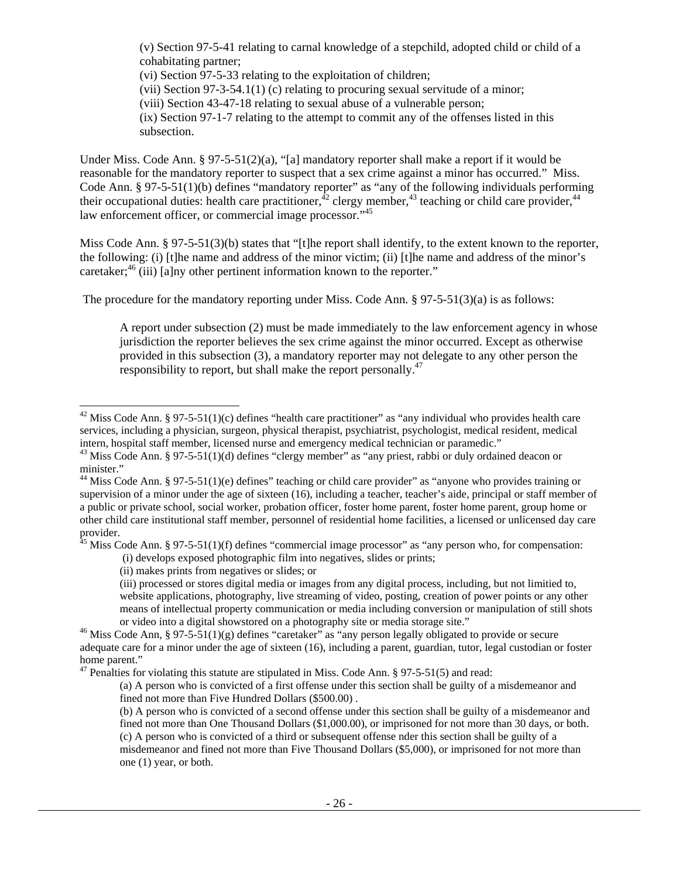(v) Section 97-5-41 relating to carnal knowledge of a stepchild, adopted child or child of a cohabitating partner;

(vi) Section 97-5-33 relating to the exploitation of children;

(vii) Section 97-3-54.1(1) (c) relating to procuring sexual servitude of a minor;

(viii) Section 43-47-18 relating to sexual abuse of a vulnerable person;

(ix) Section 97-1-7 relating to the attempt to commit any of the offenses listed in this subsection.

Under Miss. Code Ann. § 97-5-51(2)(a), "[a] mandatory reporter shall make a report if it would be reasonable for the mandatory reporter to suspect that a sex crime against a minor has occurred." Miss. Code Ann. § 97-5-51(1)(b) defines "mandatory reporter" as "any of the following individuals performing their occupational duties: health care practitioner, $42$  clergy member, $43$  teaching or child care provider, $44$ law enforcement officer, or commercial image processor."<sup>45</sup>

Miss Code Ann. § 97-5-51(3)(b) states that "[t]he report shall identify, to the extent known to the reporter, the following: (i) [t]he name and address of the minor victim; (ii) [t]he name and address of the minor's caretaker; $^{46}$  (iii) [a]ny other pertinent information known to the reporter."

The procedure for the mandatory reporting under Miss. Code Ann. § 97-5-51(3)(a) is as follows:

A report under subsection (2) must be made immediately to the law enforcement agency in whose jurisdiction the reporter believes the sex crime against the minor occurred. Except as otherwise provided in this subsection (3), a mandatory reporter may not delegate to any other person the responsibility to report, but shall make the report personally.<sup>47</sup>

 $45$  Miss Code Ann. § 97-5-51(1)(f) defines "commercial image processor" as "any person who, for compensation:

(i) develops exposed photographic film into negatives, slides or prints;

l

<sup>&</sup>lt;sup>42</sup> Miss Code Ann. § 97-5-51(1)(c) defines "health care practitioner" as "any individual who provides health care services, including a physician, surgeon, physical therapist, psychiatrist, psychologist, medical resident, medical

intern, hospital staff member, licensed nurse and emergency medical technician or paramedic."<br><sup>43</sup> Miss Code Ann. § 97-5-51(1)(d) defines "clergy member" as "any priest, rabbi or duly ordained deacon or minister."

 $44$  Miss Code Ann. § 97-5-51(1)(e) defines" teaching or child care provider" as "anyone who provides training or supervision of a minor under the age of sixteen (16), including a teacher, teacher's aide, principal or staff member of a public or private school, social worker, probation officer, foster home parent, foster home parent, group home or other child care institutional staff member, personnel of residential home facilities, a licensed or unlicensed day care provider.

<sup>(</sup>ii) makes prints from negatives or slides; or

<sup>(</sup>iii) processed or stores digital media or images from any digital process, including, but not limitied to, website applications, photography, live streaming of video, posting, creation of power points or any other means of intellectual property communication or media including conversion or manipulation of still shots or video into a digital showstored on a photography site or media storage site." 46 Miss Code Ann, § 97-5-51(1)(g) defines "caretaker" as "any person legally obligated to provide or secure

adequate care for a minor under the age of sixteen (16), including a parent, guardian, tutor, legal custodian or foster home parent."

 $47$  Penalties for violating this statute are stipulated in Miss. Code Ann. § 97-5-51(5) and read:

<sup>(</sup>a) A person who is convicted of a first offense under this section shall be guilty of a misdemeanor and fined not more than Five Hundred Dollars (\$500.00) .

<sup>(</sup>b) A person who is convicted of a second offense under this section shall be guilty of a misdemeanor and fined not more than One Thousand Dollars (\$1,000.00), or imprisoned for not more than 30 days, or both. (c) A person who is convicted of a third or subsequent offense nder this section shall be guilty of a misdemeanor and fined not more than Five Thousand Dollars (\$5,000), or imprisoned for not more than one (1) year, or both.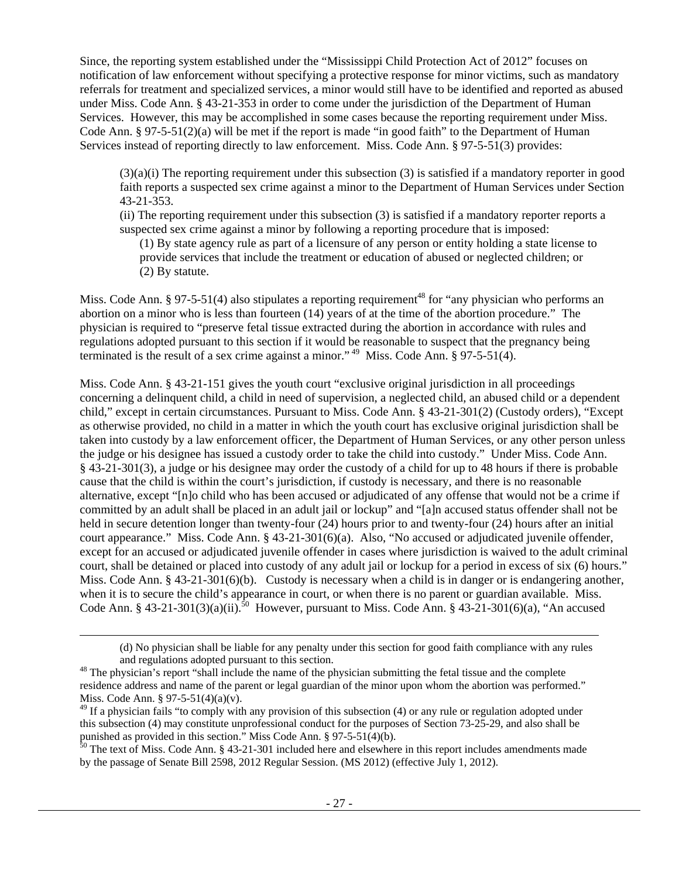Since, the reporting system established under the "Mississippi Child Protection Act of 2012" focuses on notification of law enforcement without specifying a protective response for minor victims, such as mandatory referrals for treatment and specialized services, a minor would still have to be identified and reported as abused under Miss. Code Ann. § 43-21-353 in order to come under the jurisdiction of the Department of Human Services. However, this may be accomplished in some cases because the reporting requirement under Miss. Code Ann. § 97-5-51(2)(a) will be met if the report is made "in good faith" to the Department of Human Services instead of reporting directly to law enforcement. Miss. Code Ann. § 97-5-51(3) provides:

(3)(a)(i) The reporting requirement under this subsection (3) is satisfied if a mandatory reporter in good faith reports a suspected sex crime against a minor to the Department of Human Services under Section 43-21-353.

(ii) The reporting requirement under this subsection (3) is satisfied if a mandatory reporter reports a suspected sex crime against a minor by following a reporting procedure that is imposed:

(1) By state agency rule as part of a licensure of any person or entity holding a state license to provide services that include the treatment or education of abused or neglected children; or (2) By statute.

Miss. Code Ann. § 97-5-51(4) also stipulates a reporting requirement<sup>48</sup> for "any physician who performs an abortion on a minor who is less than fourteen (14) years of at the time of the abortion procedure." The physician is required to "preserve fetal tissue extracted during the abortion in accordance with rules and regulations adopted pursuant to this section if it would be reasonable to suspect that the pregnancy being terminated is the result of a sex crime against a minor."<sup>49</sup> Miss. Code Ann. § 97-5-51(4).

Miss. Code Ann. § 43-21-151 gives the youth court "exclusive original jurisdiction in all proceedings concerning a delinquent child, a child in need of supervision, a neglected child, an abused child or a dependent child," except in certain circumstances. Pursuant to Miss. Code Ann. § 43-21-301(2) (Custody orders), "Except as otherwise provided, no child in a matter in which the youth court has exclusive original jurisdiction shall be taken into custody by a law enforcement officer, the Department of Human Services, or any other person unless the judge or his designee has issued a custody order to take the child into custody." Under Miss. Code Ann. § 43-21-301(3), a judge or his designee may order the custody of a child for up to 48 hours if there is probable cause that the child is within the court's jurisdiction, if custody is necessary, and there is no reasonable alternative, except "[n]o child who has been accused or adjudicated of any offense that would not be a crime if committed by an adult shall be placed in an adult jail or lockup" and "[a]n accused status offender shall not be held in secure detention longer than twenty-four (24) hours prior to and twenty-four (24) hours after an initial court appearance." Miss. Code Ann. § 43-21-301(6)(a). Also, "No accused or adjudicated juvenile offender, except for an accused or adjudicated juvenile offender in cases where jurisdiction is waived to the adult criminal court, shall be detained or placed into custody of any adult jail or lockup for a period in excess of six (6) hours." Miss. Code Ann. § 43-21-301(6)(b). Custody is necessary when a child is in danger or is endangering another, when it is to secure the child's appearance in court, or when there is no parent or guardian available. Miss. Code Ann. § 43-21-301(3)(a)(ii).<sup>50</sup> However, pursuant to Miss. Code Ann. § 43-21-301(6)(a), "An accused

l

<sup>(</sup>d) No physician shall be liable for any penalty under this section for good faith compliance with any rules and regulations adopted pursuant to this section.<br><sup>48</sup> The physician's report "shall include the name of the physician submitting the fetal tissue and the complete

residence address and name of the parent or legal guardian of the minor upon whom the abortion was performed." Miss. Code Ann. § 97-5-51(4)(a)(v).

<sup>&</sup>lt;sup>49</sup> If a physician fails "to comply with any provision of this subsection (4) or any rule or regulation adopted under this subsection (4) may constitute unprofessional conduct for the purposes of Section 73-25-29, and also shall be punished as provided in this section." Miss Code Ann. § 97-5-51(4)(b).

<sup>&</sup>lt;sup>50</sup> The text of Miss. Code Ann. § 43-21-301 included here and elsewhere in this report includes amendments made by the passage of Senate Bill 2598, 2012 Regular Session. (MS 2012) (effective July 1, 2012).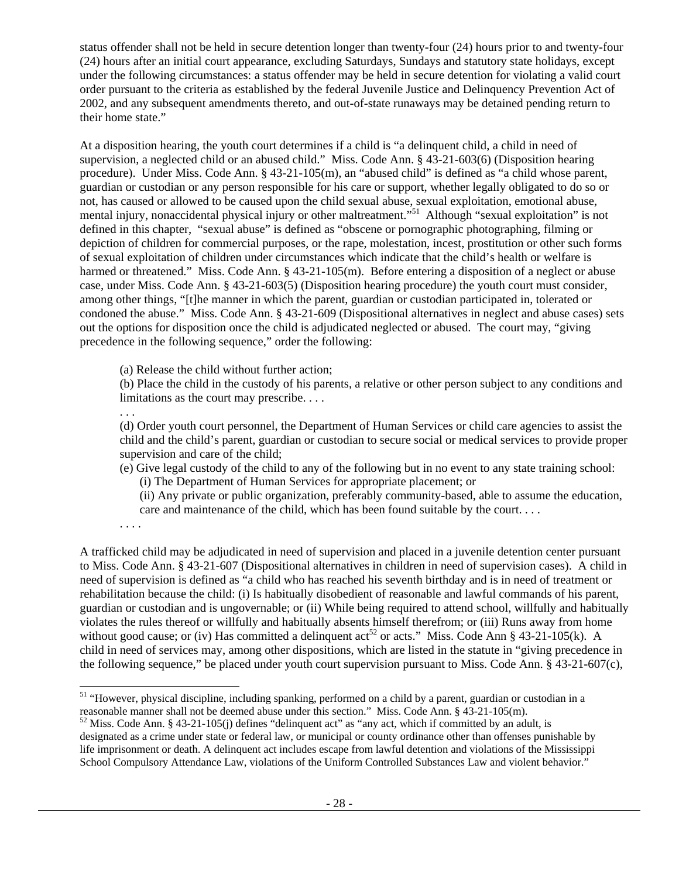status offender shall not be held in secure detention longer than twenty-four (24) hours prior to and twenty-four (24) hours after an initial court appearance, excluding Saturdays, Sundays and statutory state holidays, except under the following circumstances: a status offender may be held in secure detention for violating a valid court order pursuant to the criteria as established by the federal Juvenile Justice and Delinquency Prevention Act of 2002, and any subsequent amendments thereto, and out-of-state runaways may be detained pending return to their home state."

At a disposition hearing, the youth court determines if a child is "a delinquent child, a child in need of supervision, a neglected child or an abused child." Miss. Code Ann. § 43-21-603(6) (Disposition hearing procedure). Under Miss. Code Ann. § 43-21-105(m), an "abused child" is defined as "a child whose parent, guardian or custodian or any person responsible for his care or support, whether legally obligated to do so or not, has caused or allowed to be caused upon the child sexual abuse, sexual exploitation, emotional abuse, mental injury, nonaccidental physical injury or other maltreatment."51 Although "sexual exploitation" is not defined in this chapter, "sexual abuse" is defined as "obscene or pornographic photographing, filming or depiction of children for commercial purposes, or the rape, molestation, incest, prostitution or other such forms of sexual exploitation of children under circumstances which indicate that the child's health or welfare is harmed or threatened." Miss. Code Ann. § 43-21-105(m). Before entering a disposition of a neglect or abuse case, under Miss. Code Ann. § 43-21-603(5) (Disposition hearing procedure) the youth court must consider, among other things, "[t]he manner in which the parent, guardian or custodian participated in, tolerated or condoned the abuse." Miss. Code Ann. § 43-21-609 (Dispositional alternatives in neglect and abuse cases) sets out the options for disposition once the child is adjudicated neglected or abused. The court may, "giving precedence in the following sequence," order the following:

(a) Release the child without further action;

(b) Place the child in the custody of his parents, a relative or other person subject to any conditions and limitations as the court may prescribe. . . .

. . .

(d) Order youth court personnel, the Department of Human Services or child care agencies to assist the child and the child's parent, guardian or custodian to secure social or medical services to provide proper supervision and care of the child;

(e) Give legal custody of the child to any of the following but in no event to any state training school: (i) The Department of Human Services for appropriate placement; or

(ii) Any private or public organization, preferably community-based, able to assume the education, care and maintenance of the child, which has been found suitable by the court. . . .

. . . .

l

A trafficked child may be adjudicated in need of supervision and placed in a juvenile detention center pursuant to Miss. Code Ann. § 43-21-607 (Dispositional alternatives in children in need of supervision cases). A child in need of supervision is defined as "a child who has reached his seventh birthday and is in need of treatment or rehabilitation because the child: (i) Is habitually disobedient of reasonable and lawful commands of his parent, guardian or custodian and is ungovernable; or (ii) While being required to attend school, willfully and habitually violates the rules thereof or willfully and habitually absents himself therefrom; or (iii) Runs away from home without good cause; or (iv) Has committed a delinquent act<sup>52</sup> or acts." Miss. Code Ann § 43-21-105(k). A child in need of services may, among other dispositions, which are listed in the statute in "giving precedence in the following sequence," be placed under youth court supervision pursuant to Miss. Code Ann. § 43-21-607(c),

<sup>&</sup>lt;sup>51</sup> "However, physical discipline, including spanking, performed on a child by a parent, guardian or custodian in a reasonable manner shall not be deemed abuse under this section." Miss. Code Ann. § 43-21-105(m).

<sup>&</sup>lt;sup>52</sup> Miss. Code Ann. § 43-21-105(j) defines "delinquent act" as "any act, which if committed by an adult, is designated as a crime under state or federal law, or municipal or county ordinance other than offenses punishable by life imprisonment or death. A delinquent act includes escape from lawful detention and violations of the Mississippi School Compulsory Attendance Law, violations of the Uniform Controlled Substances Law and violent behavior."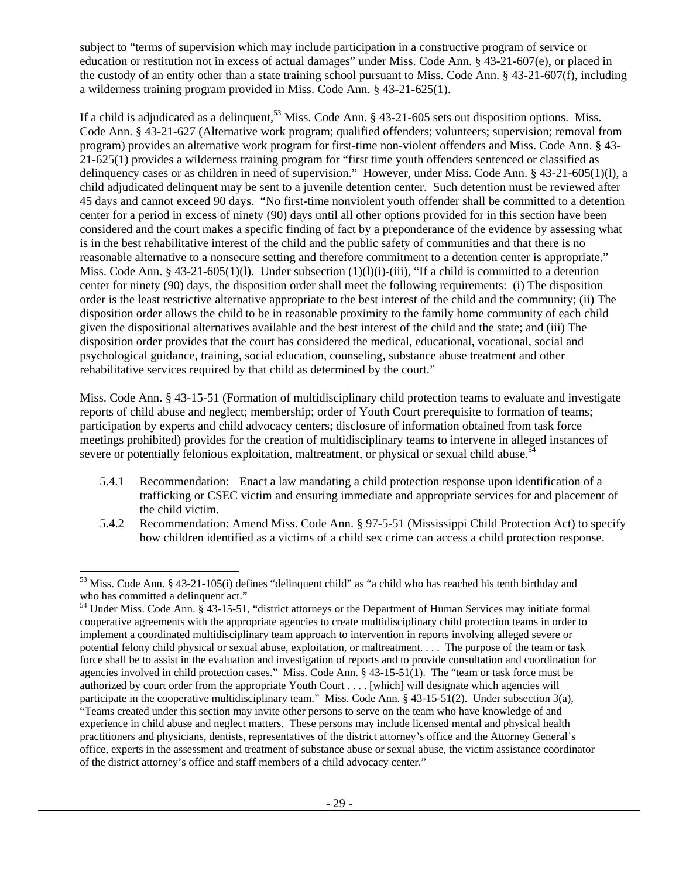subject to "terms of supervision which may include participation in a constructive program of service or education or restitution not in excess of actual damages" under Miss. Code Ann. § 43-21-607(e), or placed in the custody of an entity other than a state training school pursuant to Miss. Code Ann. § 43-21-607(f), including a wilderness training program provided in Miss. Code Ann. § 43-21-625(1).

If a child is adjudicated as a delinquent,<sup>53</sup> Miss. Code Ann. § 43-21-605 sets out disposition options. Miss. Code Ann. § 43-21-627 (Alternative work program; qualified offenders; volunteers; supervision; removal from program) provides an alternative work program for first-time non-violent offenders and Miss. Code Ann. § 43- 21-625(1) provides a wilderness training program for "first time youth offenders sentenced or classified as delinquency cases or as children in need of supervision." However, under Miss. Code Ann. § 43-21-605(1)(l), a child adjudicated delinquent may be sent to a juvenile detention center. Such detention must be reviewed after 45 days and cannot exceed 90 days. "No first-time nonviolent youth offender shall be committed to a detention center for a period in excess of ninety (90) days until all other options provided for in this section have been considered and the court makes a specific finding of fact by a preponderance of the evidence by assessing what is in the best rehabilitative interest of the child and the public safety of communities and that there is no reasonable alternative to a nonsecure setting and therefore commitment to a detention center is appropriate." Miss. Code Ann. § 43-21-605(1)(l). Under subsection  $(1)(1)(i)$ -(iii), "If a child is committed to a detention center for ninety (90) days, the disposition order shall meet the following requirements: (i) The disposition order is the least restrictive alternative appropriate to the best interest of the child and the community; (ii) The disposition order allows the child to be in reasonable proximity to the family home community of each child given the dispositional alternatives available and the best interest of the child and the state; and (iii) The disposition order provides that the court has considered the medical, educational, vocational, social and psychological guidance, training, social education, counseling, substance abuse treatment and other rehabilitative services required by that child as determined by the court."

Miss. Code Ann. § 43-15-51 (Formation of multidisciplinary child protection teams to evaluate and investigate reports of child abuse and neglect; membership; order of Youth Court prerequisite to formation of teams; participation by experts and child advocacy centers; disclosure of information obtained from task force meetings prohibited) provides for the creation of multidisciplinary teams to intervene in alleged instances of severe or potentially felonious exploitation, maltreatment, or physical or sexual child abuse.<sup>54</sup>

- 5.4.1 Recommendation: Enact a law mandating a child protection response upon identification of a trafficking or CSEC victim and ensuring immediate and appropriate services for and placement of the child victim.
- 5.4.2 Recommendation: Amend Miss. Code Ann. § 97-5-51 (Mississippi Child Protection Act) to specify how children identified as a victims of a child sex crime can access a child protection response.

l  $53$  Miss. Code Ann. § 43-21-105(i) defines "delinquent child" as "a child who has reached his tenth birthday and who has committed a delinquent act."

<sup>&</sup>lt;sup>54</sup> Under Miss. Code Ann. § 43-15-51, "district attorneys or the Department of Human Services may initiate formal cooperative agreements with the appropriate agencies to create multidisciplinary child protection teams in order to implement a coordinated multidisciplinary team approach to intervention in reports involving alleged severe or potential felony child physical or sexual abuse, exploitation, or maltreatment. . . . The purpose of the team or task force shall be to assist in the evaluation and investigation of reports and to provide consultation and coordination for agencies involved in child protection cases." Miss. Code Ann. § 43-15-51(1). The "team or task force must be authorized by court order from the appropriate Youth Court . . . . [which] will designate which agencies will participate in the cooperative multidisciplinary team." Miss. Code Ann. § 43-15-51(2). Under subsection 3(a), "Teams created under this section may invite other persons to serve on the team who have knowledge of and experience in child abuse and neglect matters. These persons may include licensed mental and physical health practitioners and physicians, dentists, representatives of the district attorney's office and the Attorney General's office, experts in the assessment and treatment of substance abuse or sexual abuse, the victim assistance coordinator of the district attorney's office and staff members of a child advocacy center."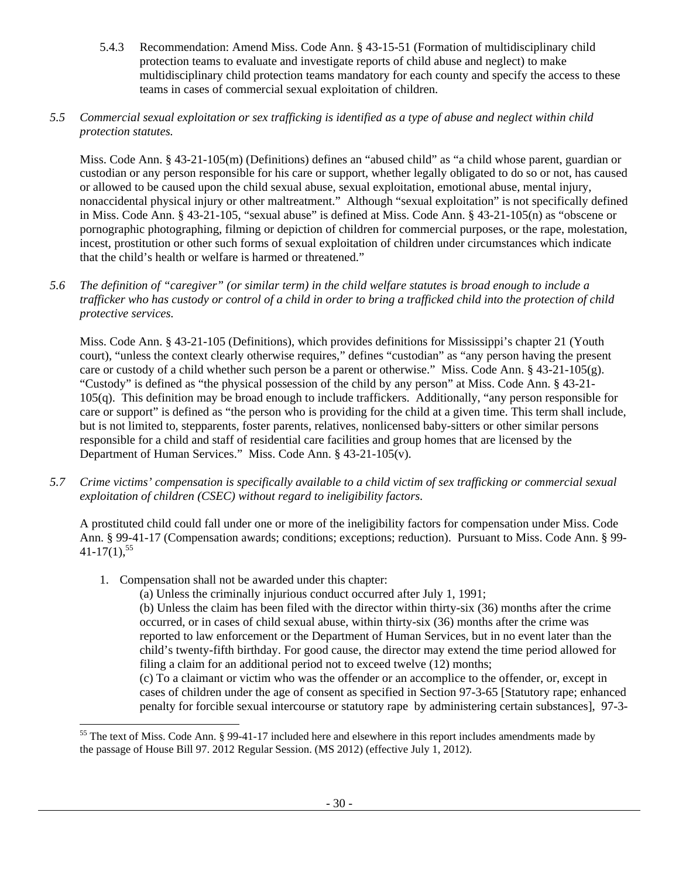5.4.3 Recommendation: Amend Miss. Code Ann. § 43-15-51 (Formation of multidisciplinary child protection teams to evaluate and investigate reports of child abuse and neglect) to make multidisciplinary child protection teams mandatory for each county and specify the access to these teams in cases of commercial sexual exploitation of children.

# *5.5 Commercial sexual exploitation or sex trafficking is identified as a type of abuse and neglect within child protection statutes.*

Miss. Code Ann. § 43-21-105(m) (Definitions) defines an "abused child" as "a child whose parent, guardian or custodian or any person responsible for his care or support, whether legally obligated to do so or not, has caused or allowed to be caused upon the child sexual abuse, sexual exploitation, emotional abuse, mental injury, nonaccidental physical injury or other maltreatment." Although "sexual exploitation" is not specifically defined in Miss. Code Ann. § 43-21-105, "sexual abuse" is defined at Miss. Code Ann. § 43-21-105(n) as "obscene or pornographic photographing, filming or depiction of children for commercial purposes, or the rape, molestation, incest, prostitution or other such forms of sexual exploitation of children under circumstances which indicate that the child's health or welfare is harmed or threatened."

*5.6 The definition of "caregiver" (or similar term) in the child welfare statutes is broad enough to include a trafficker who has custody or control of a child in order to bring a trafficked child into the protection of child protective services.* 

Miss. Code Ann. § 43-21-105 (Definitions), which provides definitions for Mississippi's chapter 21 (Youth court), "unless the context clearly otherwise requires," defines "custodian" as "any person having the present care or custody of a child whether such person be a parent or otherwise." Miss. Code Ann. § 43-21-105(g). "Custody" is defined as "the physical possession of the child by any person" at Miss. Code Ann. § 43-21- 105(q). This definition may be broad enough to include traffickers. Additionally, "any person responsible for care or support" is defined as "the person who is providing for the child at a given time. This term shall include, but is not limited to, stepparents, foster parents, relatives, nonlicensed baby-sitters or other similar persons responsible for a child and staff of residential care facilities and group homes that are licensed by the Department of Human Services." Miss. Code Ann. § 43-21-105(v).

*5.7 Crime victims' compensation is specifically available to a child victim of sex trafficking or commercial sexual exploitation of children (CSEC) without regard to ineligibility factors.* 

A prostituted child could fall under one or more of the ineligibility factors for compensation under Miss. Code Ann. § 99-41-17 (Compensation awards; conditions; exceptions; reduction). Pursuant to Miss. Code Ann. § 99-  $41-17(1)$ ,  $55$ 

1. Compensation shall not be awarded under this chapter:

1

(a) Unless the criminally injurious conduct occurred after July 1, 1991;

(b) Unless the claim has been filed with the director within thirty-six (36) months after the crime occurred, or in cases of child sexual abuse, within thirty-six (36) months after the crime was reported to law enforcement or the Department of Human Services, but in no event later than the child's twenty-fifth birthday. For good cause, the director may extend the time period allowed for filing a claim for an additional period not to exceed twelve (12) months;

(c) To a claimant or victim who was the offender or an accomplice to the offender, or, except in cases of children under the age of consent as specified in Section 97-3-65 [Statutory rape; enhanced penalty for forcible sexual intercourse or statutory rape by administering certain substances], 97-3-

<sup>&</sup>lt;sup>55</sup> The text of Miss. Code Ann. § 99-41-17 included here and elsewhere in this report includes amendments made by the passage of House Bill 97. 2012 Regular Session. (MS 2012) (effective July 1, 2012).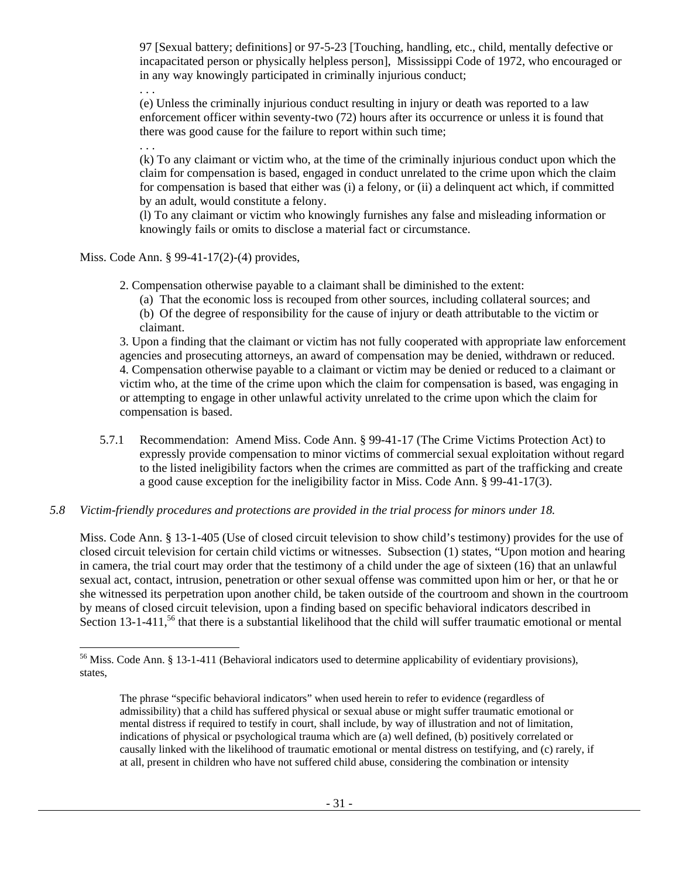97 [Sexual battery; definitions] or 97-5-23 [Touching, handling, etc., child, mentally defective or incapacitated person or physically helpless person], Mississippi Code of 1972, who encouraged or in any way knowingly participated in criminally injurious conduct;

. . .

(e) Unless the criminally injurious conduct resulting in injury or death was reported to a law enforcement officer within seventy-two (72) hours after its occurrence or unless it is found that there was good cause for the failure to report within such time;

. . . (k) To any claimant or victim who, at the time of the criminally injurious conduct upon which the claim for compensation is based, engaged in conduct unrelated to the crime upon which the claim for compensation is based that either was (i) a felony, or (ii) a delinquent act which, if committed by an adult, would constitute a felony.

(l) To any claimant or victim who knowingly furnishes any false and misleading information or knowingly fails or omits to disclose a material fact or circumstance.

Miss. Code Ann. § 99-41-17(2)-(4) provides,

2. Compensation otherwise payable to a claimant shall be diminished to the extent:

(a) That the economic loss is recouped from other sources, including collateral sources; and (b) Of the degree of responsibility for the cause of injury or death attributable to the victim or claimant.

3. Upon a finding that the claimant or victim has not fully cooperated with appropriate law enforcement agencies and prosecuting attorneys, an award of compensation may be denied, withdrawn or reduced. 4. Compensation otherwise payable to a claimant or victim may be denied or reduced to a claimant or victim who, at the time of the crime upon which the claim for compensation is based, was engaging in or attempting to engage in other unlawful activity unrelated to the crime upon which the claim for compensation is based.

5.7.1 Recommendation: Amend Miss. Code Ann. § 99-41-17 (The Crime Victims Protection Act) to expressly provide compensation to minor victims of commercial sexual exploitation without regard to the listed ineligibility factors when the crimes are committed as part of the trafficking and create a good cause exception for the ineligibility factor in Miss. Code Ann. § 99-41-17(3).

# *5.8 Victim-friendly procedures and protections are provided in the trial process for minors under 18.*

Miss. Code Ann. § 13-1-405 (Use of closed circuit television to show child's testimony) provides for the use of closed circuit television for certain child victims or witnesses. Subsection (1) states, "Upon motion and hearing in camera, the trial court may order that the testimony of a child under the age of sixteen (16) that an unlawful sexual act, contact, intrusion, penetration or other sexual offense was committed upon him or her, or that he or she witnessed its perpetration upon another child, be taken outside of the courtroom and shown in the courtroom by means of closed circuit television, upon a finding based on specific behavioral indicators described in Section 13-1-411,<sup>56</sup> that there is a substantial likelihood that the child will suffer traumatic emotional or mental

l <sup>56</sup> Miss. Code Ann. § 13-1-411 (Behavioral indicators used to determine applicability of evidentiary provisions), states,

The phrase "specific behavioral indicators" when used herein to refer to evidence (regardless of admissibility) that a child has suffered physical or sexual abuse or might suffer traumatic emotional or mental distress if required to testify in court, shall include, by way of illustration and not of limitation, indications of physical or psychological trauma which are (a) well defined, (b) positively correlated or causally linked with the likelihood of traumatic emotional or mental distress on testifying, and (c) rarely, if at all, present in children who have not suffered child abuse, considering the combination or intensity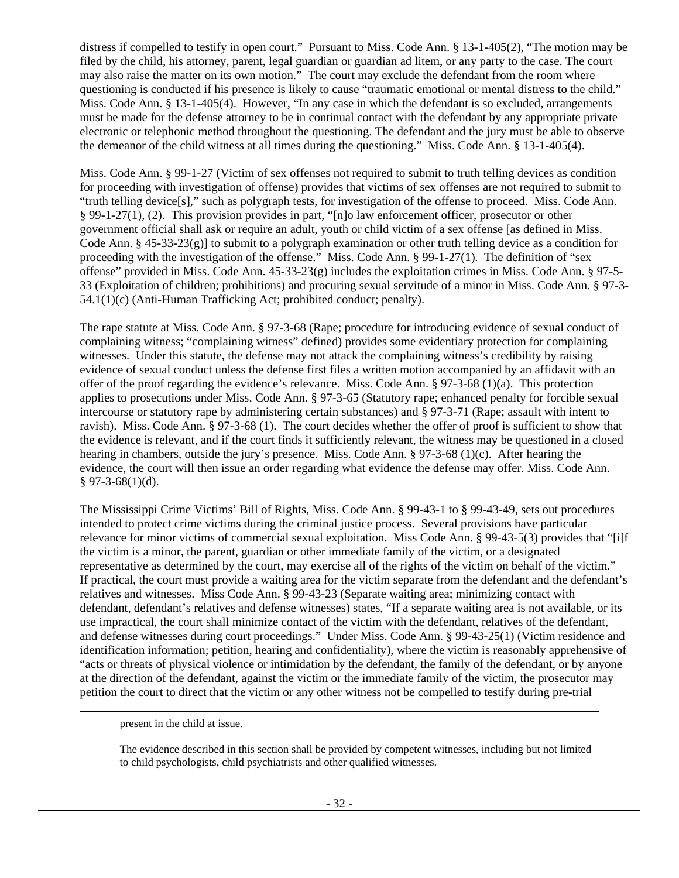distress if compelled to testify in open court." Pursuant to Miss. Code Ann. § 13-1-405(2), "The motion may be filed by the child, his attorney, parent, legal guardian or guardian ad litem, or any party to the case. The court may also raise the matter on its own motion." The court may exclude the defendant from the room where questioning is conducted if his presence is likely to cause "traumatic emotional or mental distress to the child." Miss. Code Ann. § 13-1-405(4). However, "In any case in which the defendant is so excluded, arrangements must be made for the defense attorney to be in continual contact with the defendant by any appropriate private electronic or telephonic method throughout the questioning. The defendant and the jury must be able to observe the demeanor of the child witness at all times during the questioning." Miss. Code Ann. § 13-1-405(4).

Miss. Code Ann. § 99-1-27 (Victim of sex offenses not required to submit to truth telling devices as condition for proceeding with investigation of offense) provides that victims of sex offenses are not required to submit to "truth telling device[s]," such as polygraph tests, for investigation of the offense to proceed. Miss. Code Ann. § 99-1-27(1), (2). This provision provides in part, "[n]o law enforcement officer, prosecutor or other government official shall ask or require an adult, youth or child victim of a sex offense [as defined in Miss. Code Ann. § 45-33-23(g)] to submit to a polygraph examination or other truth telling device as a condition for proceeding with the investigation of the offense." Miss. Code Ann. § 99-1-27(1). The definition of "sex offense" provided in Miss. Code Ann.  $45-33-23(g)$  includes the exploitation crimes in Miss. Code Ann. § 97-5-33 (Exploitation of children; prohibitions) and procuring sexual servitude of a minor in Miss. Code Ann. § 97-3- 54.1(1)(c) (Anti-Human Trafficking Act; prohibited conduct; penalty).

The rape statute at Miss. Code Ann. § 97-3-68 (Rape; procedure for introducing evidence of sexual conduct of complaining witness; "complaining witness" defined) provides some evidentiary protection for complaining witnesses. Under this statute, the defense may not attack the complaining witness's credibility by raising evidence of sexual conduct unless the defense first files a written motion accompanied by an affidavit with an offer of the proof regarding the evidence's relevance. Miss. Code Ann. § 97-3-68 (1)(a). This protection applies to prosecutions under Miss. Code Ann. § 97-3-65 (Statutory rape; enhanced penalty for forcible sexual intercourse or statutory rape by administering certain substances) and § 97-3-71 (Rape; assault with intent to ravish). Miss. Code Ann. § 97-3-68 (1). The court decides whether the offer of proof is sufficient to show that the evidence is relevant, and if the court finds it sufficiently relevant, the witness may be questioned in a closed hearing in chambers, outside the jury's presence. Miss. Code Ann. § 97-3-68 (1)(c). After hearing the evidence, the court will then issue an order regarding what evidence the defense may offer. Miss. Code Ann.  $$97-3-68(1)(d).$ 

The Mississippi Crime Victims' Bill of Rights, Miss. Code Ann. § 99-43-1 to § 99-43-49, sets out procedures intended to protect crime victims during the criminal justice process. Several provisions have particular relevance for minor victims of commercial sexual exploitation. Miss Code Ann. § 99-43-5(3) provides that "[i]f the victim is a minor, the parent, guardian or other immediate family of the victim, or a designated representative as determined by the court, may exercise all of the rights of the victim on behalf of the victim." If practical, the court must provide a waiting area for the victim separate from the defendant and the defendant's relatives and witnesses. Miss Code Ann. § 99-43-23 (Separate waiting area; minimizing contact with defendant, defendant's relatives and defense witnesses) states, "If a separate waiting area is not available, or its use impractical, the court shall minimize contact of the victim with the defendant, relatives of the defendant, and defense witnesses during court proceedings." Under Miss. Code Ann. § 99-43-25(1) (Victim residence and identification information; petition, hearing and confidentiality), where the victim is reasonably apprehensive of "acts or threats of physical violence or intimidation by the defendant, the family of the defendant, or by anyone at the direction of the defendant, against the victim or the immediate family of the victim, the prosecutor may petition the court to direct that the victim or any other witness not be compelled to testify during pre-trial

present in the child at issue.

1

The evidence described in this section shall be provided by competent witnesses, including but not limited to child psychologists, child psychiatrists and other qualified witnesses.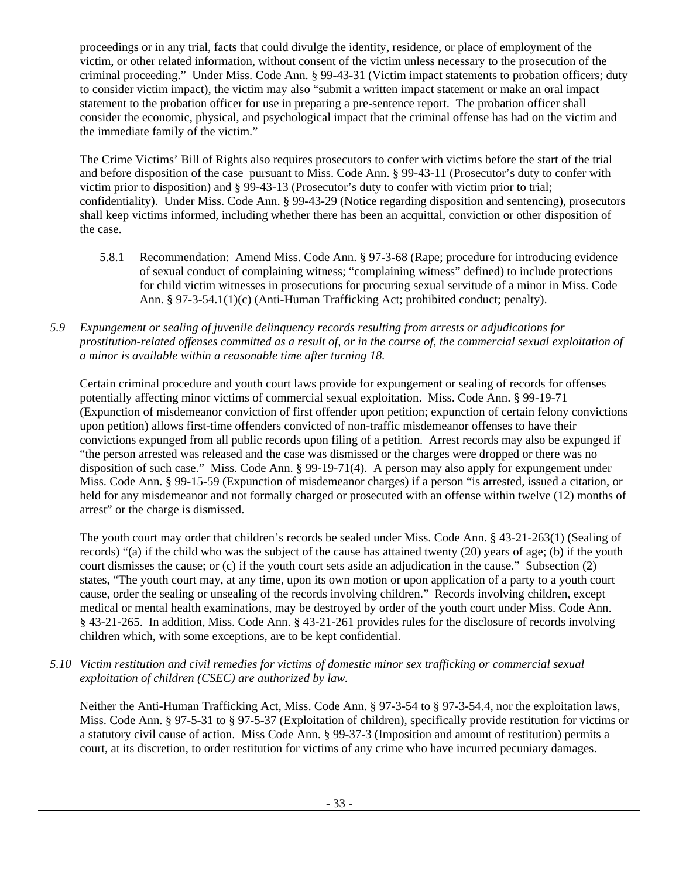proceedings or in any trial, facts that could divulge the identity, residence, or place of employment of the victim, or other related information, without consent of the victim unless necessary to the prosecution of the criminal proceeding." Under Miss. Code Ann. § 99-43-31 (Victim impact statements to probation officers; duty to consider victim impact), the victim may also "submit a written impact statement or make an oral impact statement to the probation officer for use in preparing a pre-sentence report. The probation officer shall consider the economic, physical, and psychological impact that the criminal offense has had on the victim and the immediate family of the victim."

The Crime Victims' Bill of Rights also requires prosecutors to confer with victims before the start of the trial and before disposition of the case pursuant to Miss. Code Ann. § 99-43-11 (Prosecutor's duty to confer with victim prior to disposition) and § 99-43-13 (Prosecutor's duty to confer with victim prior to trial; confidentiality). Under Miss. Code Ann. § 99-43-29 (Notice regarding disposition and sentencing), prosecutors shall keep victims informed, including whether there has been an acquittal, conviction or other disposition of the case.

- 5.8.1 Recommendation: Amend Miss. Code Ann. § 97-3-68 (Rape; procedure for introducing evidence of sexual conduct of complaining witness; "complaining witness" defined) to include protections for child victim witnesses in prosecutions for procuring sexual servitude of a minor in Miss. Code Ann. § 97-3-54.1(1)(c) (Anti-Human Trafficking Act; prohibited conduct; penalty).
- *5.9 Expungement or sealing of juvenile delinquency records resulting from arrests or adjudications for prostitution-related offenses committed as a result of, or in the course of, the commercial sexual exploitation of a minor is available within a reasonable time after turning 18.*

Certain criminal procedure and youth court laws provide for expungement or sealing of records for offenses potentially affecting minor victims of commercial sexual exploitation. Miss. Code Ann. § 99-19-71 (Expunction of misdemeanor conviction of first offender upon petition; expunction of certain felony convictions upon petition) allows first-time offenders convicted of non-traffic misdemeanor offenses to have their convictions expunged from all public records upon filing of a petition. Arrest records may also be expunged if "the person arrested was released and the case was dismissed or the charges were dropped or there was no disposition of such case." Miss. Code Ann. § 99-19-71(4). A person may also apply for expungement under Miss. Code Ann. § 99-15-59 (Expunction of misdemeanor charges) if a person "is arrested, issued a citation, or held for any misdemeanor and not formally charged or prosecuted with an offense within twelve (12) months of arrest" or the charge is dismissed.

The youth court may order that children's records be sealed under Miss. Code Ann. § 43-21-263(1) (Sealing of records) "(a) if the child who was the subject of the cause has attained twenty (20) years of age; (b) if the youth court dismisses the cause; or (c) if the youth court sets aside an adjudication in the cause." Subsection (2) states, "The youth court may, at any time, upon its own motion or upon application of a party to a youth court cause, order the sealing or unsealing of the records involving children." Records involving children, except medical or mental health examinations, may be destroyed by order of the youth court under Miss. Code Ann. § 43-21-265. In addition, Miss. Code Ann. § 43-21-261 provides rules for the disclosure of records involving children which, with some exceptions, are to be kept confidential.

*5.10 Victim restitution and civil remedies for victims of domestic minor sex trafficking or commercial sexual exploitation of children (CSEC) are authorized by law.* 

Neither the Anti-Human Trafficking Act, Miss. Code Ann. § 97-3-54 to § 97-3-54.4, nor the exploitation laws, Miss. Code Ann. § 97-5-31 to § 97-5-37 (Exploitation of children), specifically provide restitution for victims or a statutory civil cause of action. Miss Code Ann. § 99-37-3 (Imposition and amount of restitution) permits a court, at its discretion, to order restitution for victims of any crime who have incurred pecuniary damages.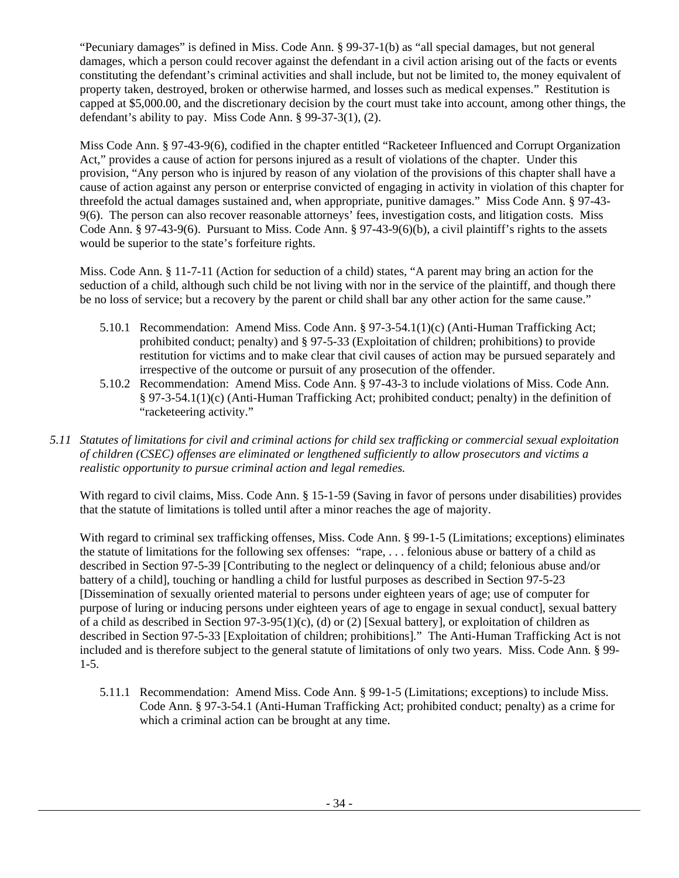"Pecuniary damages" is defined in Miss. Code Ann. § 99-37-1(b) as "all special damages, but not general damages, which a person could recover against the defendant in a civil action arising out of the facts or events constituting the defendant's criminal activities and shall include, but not be limited to, the money equivalent of property taken, destroyed, broken or otherwise harmed, and losses such as medical expenses." Restitution is capped at \$5,000.00, and the discretionary decision by the court must take into account, among other things, the defendant's ability to pay. Miss Code Ann. § 99-37-3(1), (2).

Miss Code Ann. § 97-43-9(6), codified in the chapter entitled "Racketeer Influenced and Corrupt Organization Act," provides a cause of action for persons injured as a result of violations of the chapter. Under this provision, "Any person who is injured by reason of any violation of the provisions of this chapter shall have a cause of action against any person or enterprise convicted of engaging in activity in violation of this chapter for threefold the actual damages sustained and, when appropriate, punitive damages." Miss Code Ann. § 97-43- 9(6). The person can also recover reasonable attorneys' fees, investigation costs, and litigation costs. Miss Code Ann. § 97-43-9(6). Pursuant to Miss. Code Ann. § 97-43-9(6)(b), a civil plaintiff's rights to the assets would be superior to the state's forfeiture rights.

Miss. Code Ann. § 11-7-11 (Action for seduction of a child) states, "A parent may bring an action for the seduction of a child, although such child be not living with nor in the service of the plaintiff, and though there be no loss of service; but a recovery by the parent or child shall bar any other action for the same cause."

- 5.10.1 Recommendation: Amend Miss. Code Ann. § 97-3-54.1(1)(c) (Anti-Human Trafficking Act; prohibited conduct; penalty) and § 97-5-33 (Exploitation of children; prohibitions) to provide restitution for victims and to make clear that civil causes of action may be pursued separately and irrespective of the outcome or pursuit of any prosecution of the offender.
- 5.10.2 Recommendation: Amend Miss. Code Ann. § 97-43-3 to include violations of Miss. Code Ann. § 97-3-54.1(1)(c) (Anti-Human Trafficking Act; prohibited conduct; penalty) in the definition of "racketeering activity."
- *5.11 Statutes of limitations for civil and criminal actions for child sex trafficking or commercial sexual exploitation of children (CSEC) offenses are eliminated or lengthened sufficiently to allow prosecutors and victims a realistic opportunity to pursue criminal action and legal remedies.*

With regard to civil claims, Miss. Code Ann. § 15-1-59 (Saving in favor of persons under disabilities) provides that the statute of limitations is tolled until after a minor reaches the age of majority.

With regard to criminal sex trafficking offenses, Miss. Code Ann. § 99-1-5 (Limitations; exceptions) eliminates the statute of limitations for the following sex offenses: "rape, . . . felonious abuse or battery of a child as described in Section 97-5-39 [Contributing to the neglect or delinquency of a child; felonious abuse and/or battery of a child], touching or handling a child for lustful purposes as described in Section 97-5-23 [Dissemination of sexually oriented material to persons under eighteen years of age; use of computer for purpose of luring or inducing persons under eighteen years of age to engage in sexual conduct], sexual battery of a child as described in Section 97-3-95(1)(c), (d) or (2) [Sexual battery], or exploitation of children as described in Section 97-5-33 [Exploitation of children; prohibitions]." The Anti-Human Trafficking Act is not included and is therefore subject to the general statute of limitations of only two years. Miss. Code Ann. § 99- 1-5.

5.11.1 Recommendation: Amend Miss. Code Ann. § 99-1-5 (Limitations; exceptions) to include Miss. Code Ann. § 97-3-54.1 (Anti-Human Trafficking Act; prohibited conduct; penalty) as a crime for which a criminal action can be brought at any time.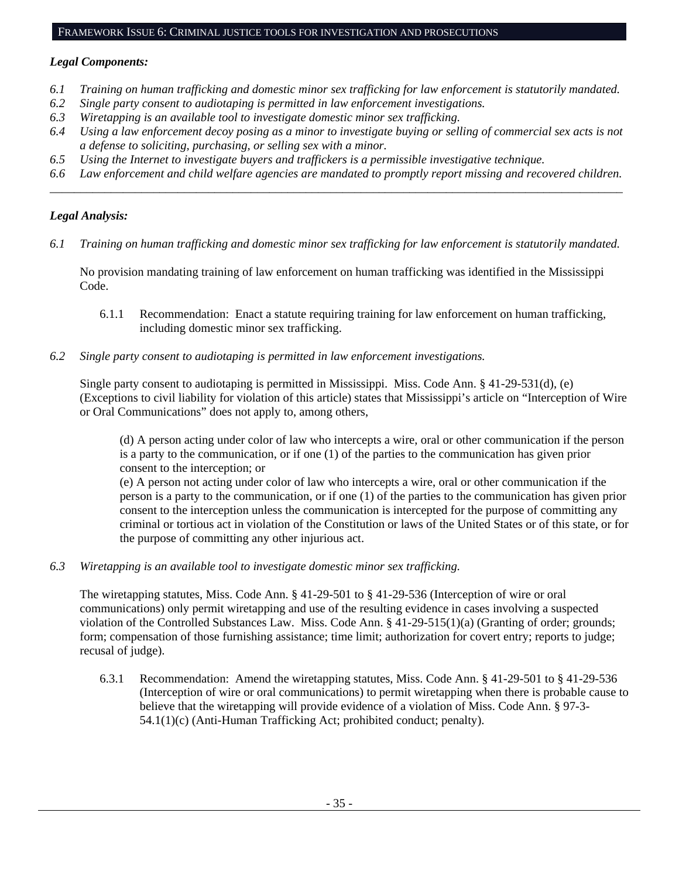#### FRAMEWORK ISSUE 6: CRIMINAL JUSTICE TOOLS FOR INVESTIGATION AND PROSECUTIONS

# *Legal Components:*

- *6.1 Training on human trafficking and domestic minor sex trafficking for law enforcement is statutorily mandated.*
- *6.2 Single party consent to audiotaping is permitted in law enforcement investigations.*
- *6.3 Wiretapping is an available tool to investigate domestic minor sex trafficking.*
- *6.4 Using a law enforcement decoy posing as a minor to investigate buying or selling of commercial sex acts is not a defense to soliciting, purchasing, or selling sex with a minor.*
- *6.5 Using the Internet to investigate buyers and traffickers is a permissible investigative technique.*
- *6.6 Law enforcement and child welfare agencies are mandated to promptly report missing and recovered children. \_\_\_\_\_\_\_\_\_\_\_\_\_\_\_\_\_\_\_\_\_\_\_\_\_\_\_\_\_\_\_\_\_\_\_\_\_\_\_\_\_\_\_\_\_\_\_\_\_\_\_\_\_\_\_\_\_\_\_\_\_\_\_\_\_\_\_\_\_\_\_\_\_\_\_\_\_\_\_\_\_\_\_\_\_\_\_\_\_\_\_\_\_\_*

# *Legal Analysis:*

*6.1 Training on human trafficking and domestic minor sex trafficking for law enforcement is statutorily mandated.*

No provision mandating training of law enforcement on human trafficking was identified in the Mississippi Code.

- 6.1.1 Recommendation: Enact a statute requiring training for law enforcement on human trafficking, including domestic minor sex trafficking.
- *6.2 Single party consent to audiotaping is permitted in law enforcement investigations.*

Single party consent to audiotaping is permitted in Mississippi. Miss. Code Ann. § 41-29-531(d), (e) (Exceptions to civil liability for violation of this article) states that Mississippi's article on "Interception of Wire or Oral Communications" does not apply to, among others,

(d) A person acting under color of law who intercepts a wire, oral or other communication if the person is a party to the communication, or if one (1) of the parties to the communication has given prior consent to the interception; or

(e) A person not acting under color of law who intercepts a wire, oral or other communication if the person is a party to the communication, or if one (1) of the parties to the communication has given prior consent to the interception unless the communication is intercepted for the purpose of committing any criminal or tortious act in violation of the Constitution or laws of the United States or of this state, or for the purpose of committing any other injurious act.

*6.3 Wiretapping is an available tool to investigate domestic minor sex trafficking.* 

The wiretapping statutes, Miss. Code Ann. § 41-29-501 to § 41-29-536 (Interception of wire or oral communications) only permit wiretapping and use of the resulting evidence in cases involving a suspected violation of the Controlled Substances Law. Miss. Code Ann. § 41-29-515(1)(a) (Granting of order; grounds; form; compensation of those furnishing assistance; time limit; authorization for covert entry; reports to judge; recusal of judge).

6.3.1 Recommendation: Amend the wiretapping statutes, Miss. Code Ann. § 41-29-501 to § 41-29-536 (Interception of wire or oral communications) to permit wiretapping when there is probable cause to believe that the wiretapping will provide evidence of a violation of Miss. Code Ann. § 97-3- 54.1(1)(c) (Anti-Human Trafficking Act; prohibited conduct; penalty).